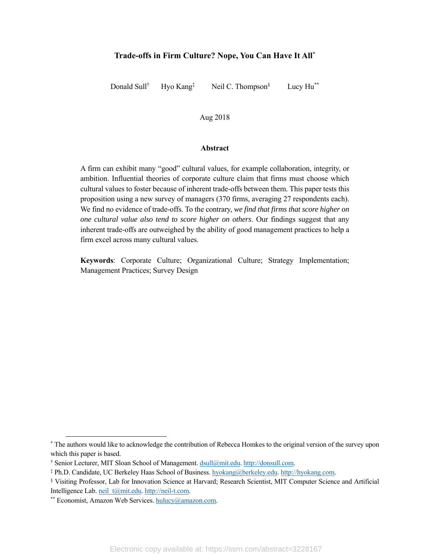# **Trade-offs in Firm Culture? Nope, You Can Have It All\***

Donald Sull† Hyo Kang‡ Neil C. Thompson<sup>§</sup>

Lucy Hu\*\*

# Aug 2018

#### **Abstract**

A firm can exhibit many "good" cultural values, for example collaboration, integrity, or ambition. Influential theories of corporate culture claim that firms must choose which cultural values to foster because of inherent trade-offs between them. This paper tests this proposition using a new survey of managers (370 firms, averaging 27 respondents each). We find no evidence of trade-offs. To the contrary, *we find that firms that score higher on one cultural value also tend to score higher on others*. Our findings suggest that any inherent trade-offs are outweighed by the ability of good management practices to help a firm excel across many cultural values.

**Keywords**: Corporate Culture; Organizational Culture; Strategy Implementation; Management Practices; Survey Design

<sup>\*&</sup>lt;br>The authors would like to acknowledge the contribution of Rebecca Homkes to the original version of the survey upon which this paper is based.

<sup>†</sup> Senior Lecturer, MIT Sloan School of Management. <u>dsull@mit.edu. http://donsull.com</u>.<br>‡Ph D. Candidate, UC Berkeley Haas School of Business, hyokang@herkeley.edu. http://

Ph.D. Candidate, UC Berkeley Haas School of Business. hyokang@berkeley.edu. http://hyokang.com. §

Visiting Professor, Lab for Innovation Science at Harvard; Research Scientist, MIT Computer Science and Artificial Intelligence Lab. neil\_t@mit.edu. http://neil-t.com.<br>\*\* Economist, Amazon Web Services. hulucy@amazon.com.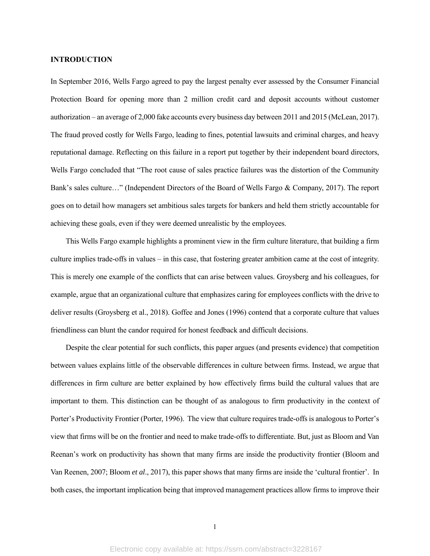# **INTRODUCTION**

In September 2016, Wells Fargo agreed to pay the largest penalty ever assessed by the Consumer Financial Protection Board for opening more than 2 million credit card and deposit accounts without customer authorization – an average of 2,000 fake accounts every business day between 2011 and 2015 (McLean, 2017). The fraud proved costly for Wells Fargo, leading to fines, potential lawsuits and criminal charges, and heavy reputational damage. Reflecting on this failure in a report put together by their independent board directors, Wells Fargo concluded that "The root cause of sales practice failures was the distortion of the Community Bank's sales culture…" (Independent Directors of the Board of Wells Fargo & Company, 2017). The report goes on to detail how managers set ambitious sales targets for bankers and held them strictly accountable for achieving these goals, even if they were deemed unrealistic by the employees.

This Wells Fargo example highlights a prominent view in the firm culture literature, that building a firm culture implies trade-offs in values – in this case, that fostering greater ambition came at the cost of integrity. This is merely one example of the conflicts that can arise between values. Groysberg and his colleagues, for example, argue that an organizational culture that emphasizes caring for employees conflicts with the drive to deliver results (Groysberg et al., 2018). Goffee and Jones (1996) contend that a corporate culture that values friendliness can blunt the candor required for honest feedback and difficult decisions.

Despite the clear potential for such conflicts, this paper argues (and presents evidence) that competition between values explains little of the observable differences in culture between firms. Instead, we argue that differences in firm culture are better explained by how effectively firms build the cultural values that are important to them. This distinction can be thought of as analogous to firm productivity in the context of Porter's Productivity Frontier (Porter, 1996). The view that culture requires trade-offs is analogous to Porter's view that firms will be on the frontier and need to make trade-offs to differentiate. But, just as Bloom and Van Reenan's work on productivity has shown that many firms are inside the productivity frontier (Bloom and Van Reenen, 2007; Bloom *et al*., 2017), this paper shows that many firms are inside the 'cultural frontier'. In both cases, the important implication being that improved management practices allow firms to improve their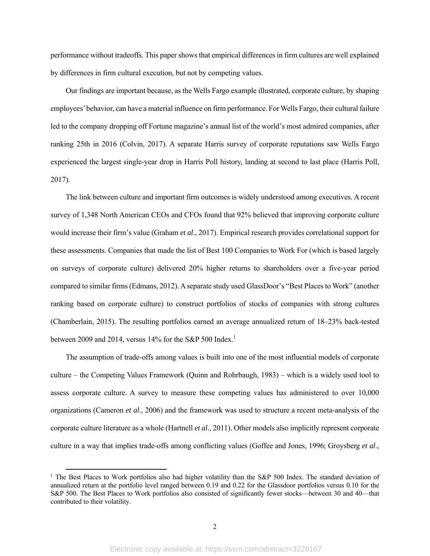performance without tradeoffs. This paper shows that empirical differences in firm cultures are well explained by differences in firm cultural execution, but not by competing values.

Our findings are important because, as the Wells Fargo example illustrated, corporate culture, by shaping employees' behavior, can have a material influence on firm performance. For Wells Fargo, their cultural failure led to the company dropping off Fortune magazine's annual list of the world's most admired companies, after ranking 25th in 2016 (Colvin, 2017). A separate Harris survey of corporate reputations saw Wells Fargo experienced the largest single-year drop in Harris Poll history, landing at second to last place (Harris Poll, 2017).

The link between culture and important firm outcomes is widely understood among executives. A recent survey of 1,348 North American CEOs and CFOs found that 92% believed that improving corporate culture would increase their firm's value (Graham *et al*., 2017). Empirical research provides correlational support for these assessments. Companies that made the list of Best 100 Companies to Work For (which is based largely on surveys of corporate culture) delivered 20% higher returns to shareholders over a five-year period compared to similar firms (Edmans, 2012). A separate study used GlassDoor's "Best Places to Work" (another ranking based on corporate culture) to construct portfolios of stocks of companies with strong cultures (Chamberlain, 2015). The resulting portfolios earned an average annualized return of 18–23% back-tested between 2009 and 2014, versus 14% for the S&P 500 Index.<sup>1</sup>

The assumption of trade-offs among values is built into one of the most influential models of corporate culture – the Competing Values Framework (Quinn and Rohrbaugh, 1983) – which is a widely used tool to assess corporate culture. A survey to measure these competing values has administered to over 10,000 organizations (Cameron *et al*., 2006) and the framework was used to structure a recent meta-analysis of the corporate culture literature as a whole (Hartnell *et al*., 2011). Other models also implicitly represent corporate culture in a way that implies trade-offs among conflicting values (Goffee and Jones, 1996; Groysberg *et al*.,

<sup>&</sup>lt;sup>1</sup> The Best Places to Work portfolios also had higher volatility than the S&P 500 Index. The standard deviation of annualized return at the portfolio level ranged between 0.19 and 0.22 for the Glassdoor portfolios versus 0.10 for the S&P 500. The Best Places to Work portfolios also consisted of significantly fewer stocks—between 30 and 40—that contributed to their volatility.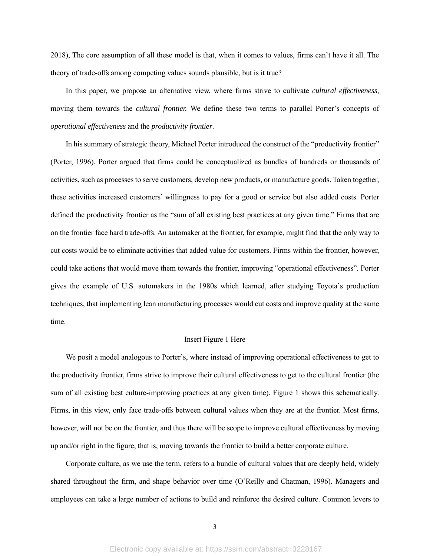2018), The core assumption of all these model is that, when it comes to values, firms can't have it all. The theory of trade-offs among competing values sounds plausible, but is it true?

In this paper, we propose an alternative view, where firms strive to cultivate *cultural effectiveness,*  moving them towards the *cultural frontier.* We define these two terms to parallel Porter's concepts of *operational effectiveness* and the *productivity frontier*.

In his summary of strategic theory, Michael Porter introduced the construct of the "productivity frontier" (Porter, 1996). Porter argued that firms could be conceptualized as bundles of hundreds or thousands of activities, such as processes to serve customers, develop new products, or manufacture goods. Taken together, these activities increased customers' willingness to pay for a good or service but also added costs. Porter defined the productivity frontier as the "sum of all existing best practices at any given time." Firms that are on the frontier face hard trade-offs. An automaker at the frontier, for example, might find that the only way to cut costs would be to eliminate activities that added value for customers. Firms within the frontier, however, could take actions that would move them towards the frontier, improving "operational effectiveness". Porter gives the example of U.S. automakers in the 1980s which learned, after studying Toyota's production techniques, that implementing lean manufacturing processes would cut costs and improve quality at the same time.

# Insert Figure 1 Here

We posit a model analogous to Porter's, where instead of improving operational effectiveness to get to the productivity frontier, firms strive to improve their cultural effectiveness to get to the cultural frontier (the sum of all existing best culture-improving practices at any given time). Figure 1 shows this schematically. Firms, in this view, only face trade-offs between cultural values when they are at the frontier. Most firms, however, will not be on the frontier, and thus there will be scope to improve cultural effectiveness by moving up and/or right in the figure, that is, moving towards the frontier to build a better corporate culture.

Corporate culture, as we use the term, refers to a bundle of cultural values that are deeply held, widely shared throughout the firm, and shape behavior over time (O'Reilly and Chatman, 1996). Managers and employees can take a large number of actions to build and reinforce the desired culture. Common levers to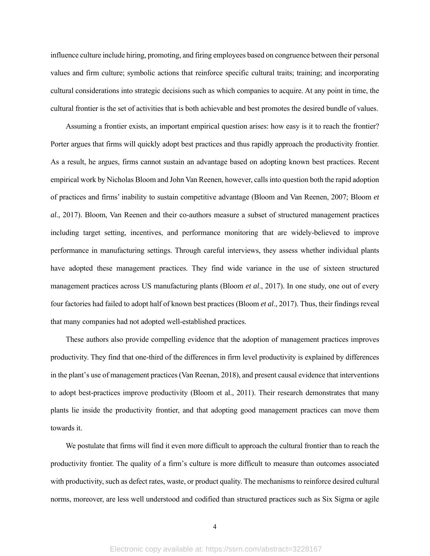influence culture include hiring, promoting, and firing employees based on congruence between their personal values and firm culture; symbolic actions that reinforce specific cultural traits; training; and incorporating cultural considerations into strategic decisions such as which companies to acquire. At any point in time, the cultural frontier is the set of activities that is both achievable and best promotes the desired bundle of values.

Assuming a frontier exists, an important empirical question arises: how easy is it to reach the frontier? Porter argues that firms will quickly adopt best practices and thus rapidly approach the productivity frontier. As a result, he argues, firms cannot sustain an advantage based on adopting known best practices. Recent empirical work by Nicholas Bloom and John Van Reenen, however, calls into question both the rapid adoption of practices and firms' inability to sustain competitive advantage (Bloom and Van Reenen, 2007; Bloom *et al*., 2017). Bloom, Van Reenen and their co-authors measure a subset of structured management practices including target setting, incentives, and performance monitoring that are widely-believed to improve performance in manufacturing settings. Through careful interviews, they assess whether individual plants have adopted these management practices. They find wide variance in the use of sixteen structured management practices across US manufacturing plants (Bloom *et al*., 2017). In one study, one out of every four factories had failed to adopt half of known best practices (Bloom *et al*., 2017). Thus, their findings reveal that many companies had not adopted well-established practices.

These authors also provide compelling evidence that the adoption of management practices improves productivity. They find that one-third of the differences in firm level productivity is explained by differences in the plant's use of management practices (Van Reenan, 2018), and present causal evidence that interventions to adopt best-practices improve productivity (Bloom et al., 2011). Their research demonstrates that many plants lie inside the productivity frontier, and that adopting good management practices can move them towards it.

We postulate that firms will find it even more difficult to approach the cultural frontier than to reach the productivity frontier. The quality of a firm's culture is more difficult to measure than outcomes associated with productivity, such as defect rates, waste, or product quality. The mechanisms to reinforce desired cultural norms, moreover, are less well understood and codified than structured practices such as Six Sigma or agile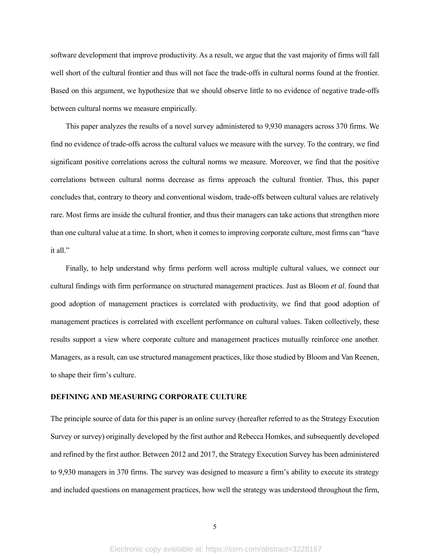software development that improve productivity. As a result, we argue that the vast majority of firms will fall well short of the cultural frontier and thus will not face the trade-offs in cultural norms found at the frontier. Based on this argument, we hypothesize that we should observe little to no evidence of negative trade-offs between cultural norms we measure empirically.

This paper analyzes the results of a novel survey administered to 9,930 managers across 370 firms. We find no evidence of trade-offs across the cultural values we measure with the survey. To the contrary, we find significant positive correlations across the cultural norms we measure. Moreover, we find that the positive correlations between cultural norms decrease as firms approach the cultural frontier. Thus, this paper concludes that, contrary to theory and conventional wisdom, trade-offs between cultural values are relatively rare. Most firms are inside the cultural frontier, and thus their managers can take actions that strengthen more than one cultural value at a time. In short, when it comes to improving corporate culture, most firms can "have it all."

Finally, to help understand why firms perform well across multiple cultural values, we connect our cultural findings with firm performance on structured management practices. Just as Bloom *et al*. found that good adoption of management practices is correlated with productivity, we find that good adoption of management practices is correlated with excellent performance on cultural values. Taken collectively, these results support a view where corporate culture and management practices mutually reinforce one another. Managers, as a result, can use structured management practices, like those studied by Bloom and Van Reenen, to shape their firm's culture.

# **DEFINING AND MEASURING CORPORATE CULTURE**

The principle source of data for this paper is an online survey (hereafter referred to as the Strategy Execution Survey or survey) originally developed by the first author and Rebecca Homkes, and subsequently developed and refined by the first author. Between 2012 and 2017, the Strategy Execution Survey has been administered to 9,930 managers in 370 firms. The survey was designed to measure a firm's ability to execute its strategy and included questions on management practices, how well the strategy was understood throughout the firm,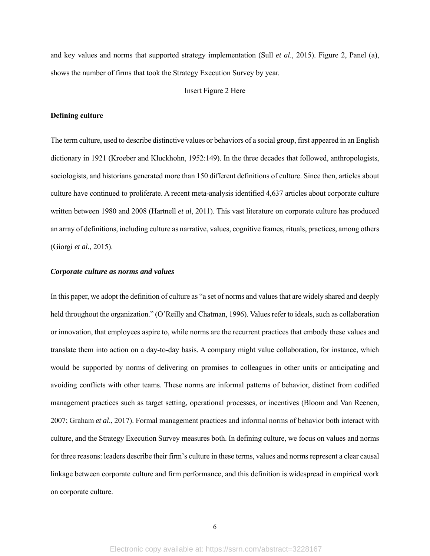and key values and norms that supported strategy implementation (Sull *et al*., 2015). Figure 2, Panel (a), shows the number of firms that took the Strategy Execution Survey by year.

## Insert Figure 2 Here

# **Defining culture**

The term culture, used to describe distinctive values or behaviors of a social group, first appeared in an English dictionary in 1921 (Kroeber and Kluckhohn, 1952:149). In the three decades that followed, anthropologists, sociologists, and historians generated more than 150 different definitions of culture. Since then, articles about culture have continued to proliferate. A recent meta-analysis identified 4,637 articles about corporate culture written between 1980 and 2008 (Hartnell *et al*, 2011). This vast literature on corporate culture has produced an array of definitions, including culture as narrative, values, cognitive frames, rituals, practices, among others (Giorgi *et al*., 2015).

## *Corporate culture as norms and values*

In this paper, we adopt the definition of culture as "a set of norms and values that are widely shared and deeply held throughout the organization." (O'Reilly and Chatman, 1996). Values refer to ideals, such as collaboration or innovation, that employees aspire to, while norms are the recurrent practices that embody these values and translate them into action on a day-to-day basis. A company might value collaboration, for instance, which would be supported by norms of delivering on promises to colleagues in other units or anticipating and avoiding conflicts with other teams. These norms are informal patterns of behavior, distinct from codified management practices such as target setting, operational processes, or incentives (Bloom and Van Reenen, 2007; Graham *et al*., 2017). Formal management practices and informal norms of behavior both interact with culture, and the Strategy Execution Survey measures both. In defining culture, we focus on values and norms for three reasons: leaders describe their firm's culture in these terms, values and norms represent a clear causal linkage between corporate culture and firm performance, and this definition is widespread in empirical work on corporate culture.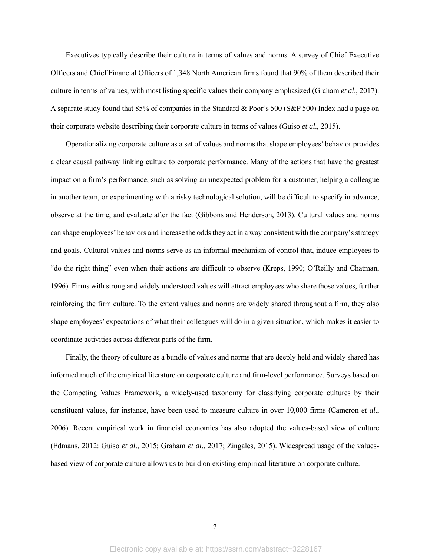Executives typically describe their culture in terms of values and norms. A survey of Chief Executive Officers and Chief Financial Officers of 1,348 North American firms found that 90% of them described their culture in terms of values, with most listing specific values their company emphasized (Graham *et al*., 2017). A separate study found that 85% of companies in the Standard & Poor's 500 (S&P 500) Index had a page on their corporate website describing their corporate culture in terms of values (Guiso *et al*., 2015).

Operationalizing corporate culture as a set of values and norms that shape employees' behavior provides a clear causal pathway linking culture to corporate performance. Many of the actions that have the greatest impact on a firm's performance, such as solving an unexpected problem for a customer, helping a colleague in another team, or experimenting with a risky technological solution, will be difficult to specify in advance, observe at the time, and evaluate after the fact (Gibbons and Henderson, 2013). Cultural values and norms can shape employees' behaviors and increase the odds they act in a way consistent with the company's strategy and goals. Cultural values and norms serve as an informal mechanism of control that, induce employees to "do the right thing" even when their actions are difficult to observe (Kreps, 1990; O'Reilly and Chatman, 1996). Firms with strong and widely understood values will attract employees who share those values, further reinforcing the firm culture. To the extent values and norms are widely shared throughout a firm, they also shape employees' expectations of what their colleagues will do in a given situation, which makes it easier to coordinate activities across different parts of the firm.

Finally, the theory of culture as a bundle of values and norms that are deeply held and widely shared has informed much of the empirical literature on corporate culture and firm-level performance. Surveys based on the Competing Values Framework, a widely-used taxonomy for classifying corporate cultures by their constituent values, for instance, have been used to measure culture in over 10,000 firms (Cameron *et al*., 2006). Recent empirical work in financial economics has also adopted the values-based view of culture (Edmans, 2012: Guiso *et al*., 2015; Graham *et al*., 2017; Zingales, 2015). Widespread usage of the valuesbased view of corporate culture allows us to build on existing empirical literature on corporate culture.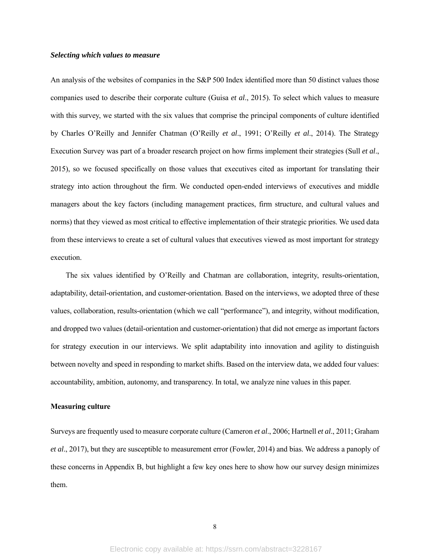#### *Selecting which values to measure*

An analysis of the websites of companies in the S&P 500 Index identified more than 50 distinct values those companies used to describe their corporate culture (Guisa *et al*., 2015). To select which values to measure with this survey, we started with the six values that comprise the principal components of culture identified by Charles O'Reilly and Jennifer Chatman (O'Reilly *et al*., 1991; O'Reilly *et al*., 2014). The Strategy Execution Survey was part of a broader research project on how firms implement their strategies (Sull *et al*., 2015), so we focused specifically on those values that executives cited as important for translating their strategy into action throughout the firm. We conducted open-ended interviews of executives and middle managers about the key factors (including management practices, firm structure, and cultural values and norms) that they viewed as most critical to effective implementation of their strategic priorities. We used data from these interviews to create a set of cultural values that executives viewed as most important for strategy execution.

The six values identified by O'Reilly and Chatman are collaboration, integrity, results-orientation, adaptability, detail-orientation, and customer-orientation. Based on the interviews, we adopted three of these values, collaboration, results-orientation (which we call "performance"), and integrity, without modification, and dropped two values (detail-orientation and customer-orientation) that did not emerge as important factors for strategy execution in our interviews. We split adaptability into innovation and agility to distinguish between novelty and speed in responding to market shifts. Based on the interview data, we added four values: accountability, ambition, autonomy, and transparency. In total, we analyze nine values in this paper.

# **Measuring culture**

Surveys are frequently used to measure corporate culture (Cameron *et al*., 2006; Hartnell *et al*., 2011; Graham *et al*., 2017), but they are susceptible to measurement error (Fowler, 2014) and bias. We address a panoply of these concerns in Appendix B, but highlight a few key ones here to show how our survey design minimizes them.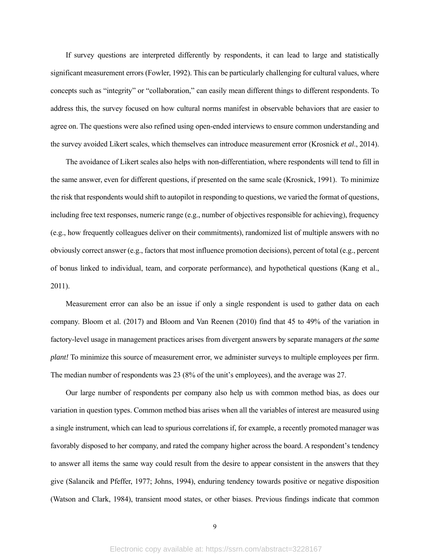If survey questions are interpreted differently by respondents, it can lead to large and statistically significant measurement errors (Fowler, 1992). This can be particularly challenging for cultural values, where concepts such as "integrity" or "collaboration," can easily mean different things to different respondents. To address this, the survey focused on how cultural norms manifest in observable behaviors that are easier to agree on. The questions were also refined using open-ended interviews to ensure common understanding and the survey avoided Likert scales, which themselves can introduce measurement error (Krosnick *et al*., 2014).

The avoidance of Likert scales also helps with non-differentiation, where respondents will tend to fill in the same answer, even for different questions, if presented on the same scale (Krosnick, 1991). To minimize the risk that respondents would shift to autopilot in responding to questions, we varied the format of questions, including free text responses, numeric range (e.g., number of objectives responsible for achieving), frequency (e.g., how frequently colleagues deliver on their commitments), randomized list of multiple answers with no obviously correct answer (e.g., factors that most influence promotion decisions), percent of total (e.g., percent of bonus linked to individual, team, and corporate performance), and hypothetical questions (Kang et al., 2011).

Measurement error can also be an issue if only a single respondent is used to gather data on each company. Bloom et al. (2017) and Bloom and Van Reenen (2010) find that 45 to 49% of the variation in factory-level usage in management practices arises from divergent answers by separate managers *at the same plant!* To minimize this source of measurement error, we administer surveys to multiple employees per firm. The median number of respondents was 23 (8% of the unit's employees), and the average was 27.

Our large number of respondents per company also help us with common method bias, as does our variation in question types. Common method bias arises when all the variables of interest are measured using a single instrument, which can lead to spurious correlations if, for example, a recently promoted manager was favorably disposed to her company, and rated the company higher across the board. A respondent's tendency to answer all items the same way could result from the desire to appear consistent in the answers that they give (Salancik and Pfeffer, 1977; Johns, 1994), enduring tendency towards positive or negative disposition (Watson and Clark, 1984), transient mood states, or other biases. Previous findings indicate that common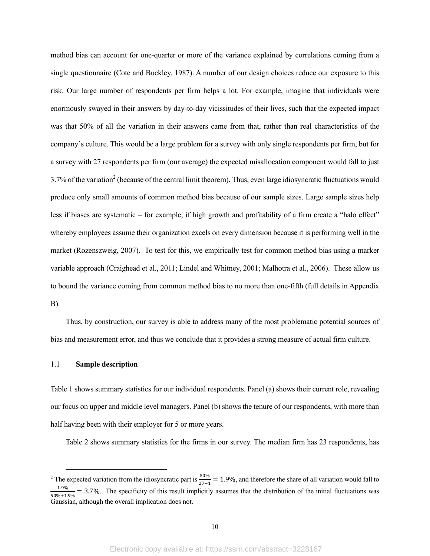method bias can account for one-quarter or more of the variance explained by correlations coming from a single questionnaire (Cote and Buckley, 1987). A number of our design choices reduce our exposure to this risk. Our large number of respondents per firm helps a lot. For example, imagine that individuals were enormously swayed in their answers by day-to-day vicissitudes of their lives, such that the expected impact was that 50% of all the variation in their answers came from that, rather than real characteristics of the company's culture. This would be a large problem for a survey with only single respondents per firm, but for a survey with 27 respondents per firm (our average) the expected misallocation component would fall to just 3.7% of the variation<sup>2</sup> (because of the central limit theorem). Thus, even large idiosyncratic fluctuations would produce only small amounts of common method bias because of our sample sizes. Large sample sizes help less if biases are systematic – for example, if high growth and profitability of a firm create a "halo effect" whereby employees assume their organization excels on every dimension because it is performing well in the market (Rozenszweig, 2007). To test for this, we empirically test for common method bias using a marker variable approach (Craighead et al., 2011; Lindel and Whitney, 2001; Malhotra et al., 2006). These allow us to bound the variance coming from common method bias to no more than one-fifth (full details in Appendix B).

Thus, by construction, our survey is able to address many of the most problematic potential sources of bias and measurement error, and thus we conclude that it provides a strong measure of actual firm culture.

# 1.1 **Sample description**

Table 1 shows summary statistics for our individual respondents. Panel (a) shows their current role, revealing our focus on upper and middle level managers. Panel (b) shows the tenure of our respondents, with more than half having been with their employer for 5 or more years.

Table 2 shows summary statistics for the firms in our survey. The median firm has 23 respondents, has

<sup>&</sup>lt;sup>2</sup> The expected variation from the idiosyncratic part is  $\frac{50\%}{27-1}$  = 1.9%, and therefore the share of all variation would fall to  $\frac{1.9\%}{50\%+1.9\%}$  = 3.7%. The specificity of this result implicitly assumes that the distribution of the initial fluctuations was Gaussian, although the overall implication does not.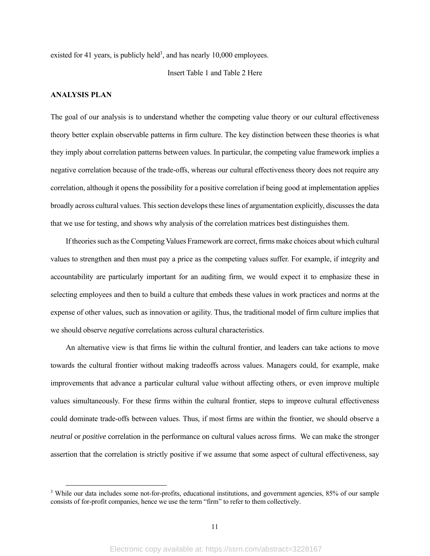existed for 41 years, is publicly held<sup>3</sup>, and has nearly  $10,000$  employees.

Insert Table 1 and Table 2 Here

# **ANALYSIS PLAN**

The goal of our analysis is to understand whether the competing value theory or our cultural effectiveness theory better explain observable patterns in firm culture. The key distinction between these theories is what they imply about correlation patterns between values. In particular, the competing value framework implies a negative correlation because of the trade-offs, whereas our cultural effectiveness theory does not require any correlation, although it opens the possibility for a positive correlation if being good at implementation applies broadly across cultural values. This section develops these lines of argumentation explicitly, discusses the data that we use for testing, and shows why analysis of the correlation matrices best distinguishes them.

If theories such as the Competing Values Framework are correct, firms make choices about which cultural values to strengthen and then must pay a price as the competing values suffer. For example, if integrity and accountability are particularly important for an auditing firm, we would expect it to emphasize these in selecting employees and then to build a culture that embeds these values in work practices and norms at the expense of other values, such as innovation or agility. Thus, the traditional model of firm culture implies that we should observe *negative* correlations across cultural characteristics.

An alternative view is that firms lie within the cultural frontier, and leaders can take actions to move towards the cultural frontier without making tradeoffs across values. Managers could, for example, make improvements that advance a particular cultural value without affecting others, or even improve multiple values simultaneously. For these firms within the cultural frontier, steps to improve cultural effectiveness could dominate trade-offs between values. Thus, if most firms are within the frontier, we should observe a *neutral* or *positive* correlation in the performance on cultural values across firms. We can make the stronger assertion that the correlation is strictly positive if we assume that some aspect of cultural effectiveness, say

<sup>&</sup>lt;sup>3</sup> While our data includes some not-for-profits, educational institutions, and government agencies, 85% of our sample consists of for-profit companies, hence we use the term "firm" to refer to them collectively.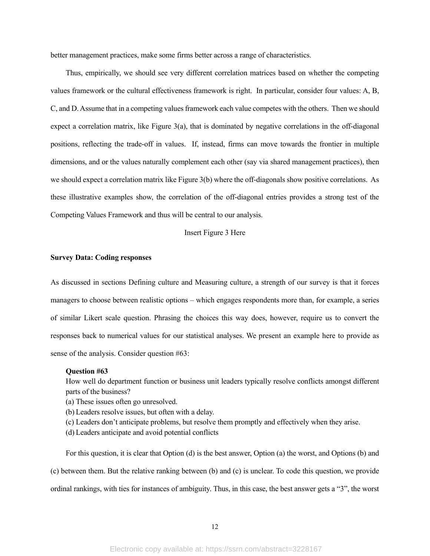better management practices, make some firms better across a range of characteristics.

Thus, empirically, we should see very different correlation matrices based on whether the competing values framework or the cultural effectiveness framework is right. In particular, consider four values: A, B, C, and D. Assume that in a competing values framework each value competes with the others. Then we should expect a correlation matrix, like Figure  $3(a)$ , that is dominated by negative correlations in the off-diagonal positions, reflecting the trade-off in values. If, instead, firms can move towards the frontier in multiple dimensions, and or the values naturally complement each other (say via shared management practices), then we should expect a correlation matrix like Figure 3(b) where the off-diagonals show positive correlations. As these illustrative examples show, the correlation of the off-diagonal entries provides a strong test of the Competing Values Framework and thus will be central to our analysis.

# Insert Figure 3 Here

#### **Survey Data: Coding responses**

As discussed in sections Defining culture and Measuring culture, a strength of our survey is that it forces managers to choose between realistic options – which engages respondents more than, for example, a series of similar Likert scale question. Phrasing the choices this way does, however, require us to convert the responses back to numerical values for our statistical analyses. We present an example here to provide as sense of the analysis. Consider question #63:

### **Question #63**

How well do department function or business unit leaders typically resolve conflicts amongst different parts of the business?

- (a) These issues often go unresolved.
- (b) Leaders resolve issues, but often with a delay.
- (c) Leaders don't anticipate problems, but resolve them promptly and effectively when they arise.
- (d) Leaders anticipate and avoid potential conflicts

For this question, it is clear that Option (d) is the best answer, Option (a) the worst, and Options (b) and (c) between them. But the relative ranking between (b) and (c) is unclear. To code this question, we provide ordinal rankings, with ties for instances of ambiguity. Thus, in this case, the best answer gets a "3", the worst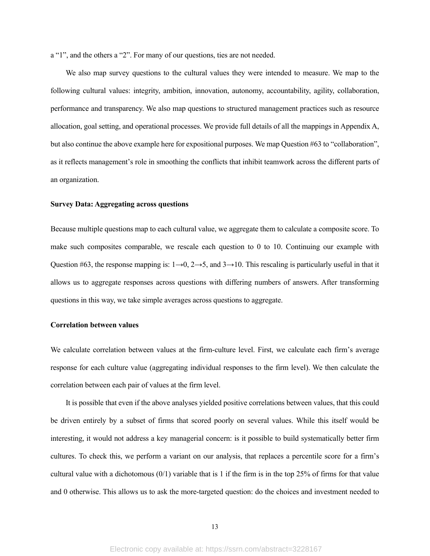a "1", and the others a "2". For many of our questions, ties are not needed.

We also map survey questions to the cultural values they were intended to measure. We map to the following cultural values: integrity, ambition, innovation, autonomy, accountability, agility, collaboration, performance and transparency. We also map questions to structured management practices such as resource allocation, goal setting, and operational processes. We provide full details of all the mappings in Appendix A, but also continue the above example here for expositional purposes. We map Question #63 to "collaboration", as it reflects management's role in smoothing the conflicts that inhibit teamwork across the different parts of an organization.

# **Survey Data: Aggregating across questions**

Because multiple questions map to each cultural value, we aggregate them to calculate a composite score. To make such composites comparable, we rescale each question to 0 to 10. Continuing our example with Question #63, the response mapping is:  $1\rightarrow 0$ ,  $2\rightarrow 5$ , and  $3\rightarrow 10$ . This rescaling is particularly useful in that it allows us to aggregate responses across questions with differing numbers of answers. After transforming questions in this way, we take simple averages across questions to aggregate.

## **Correlation between values**

We calculate correlation between values at the firm-culture level. First, we calculate each firm's average response for each culture value (aggregating individual responses to the firm level). We then calculate the correlation between each pair of values at the firm level.

It is possible that even if the above analyses yielded positive correlations between values, that this could be driven entirely by a subset of firms that scored poorly on several values. While this itself would be interesting, it would not address a key managerial concern: is it possible to build systematically better firm cultures. To check this, we perform a variant on our analysis, that replaces a percentile score for a firm's cultural value with a dichotomous  $(0/1)$  variable that is 1 if the firm is in the top 25% of firms for that value and 0 otherwise. This allows us to ask the more-targeted question: do the choices and investment needed to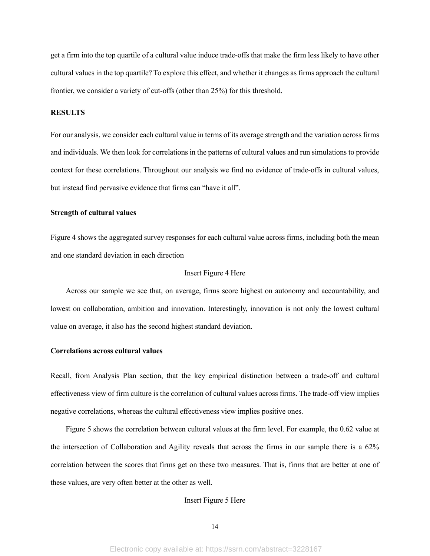get a firm into the top quartile of a cultural value induce trade-offs that make the firm less likely to have other cultural values in the top quartile? To explore this effect, and whether it changes as firms approach the cultural frontier, we consider a variety of cut-offs (other than 25%) for this threshold.

# **RESULTS**

For our analysis, we consider each cultural value in terms of its average strength and the variation across firms and individuals. We then look for correlations in the patterns of cultural values and run simulations to provide context for these correlations. Throughout our analysis we find no evidence of trade-offs in cultural values, but instead find pervasive evidence that firms can "have it all".

# **Strength of cultural values**

Figure 4 shows the aggregated survey responses for each cultural value across firms, including both the mean and one standard deviation in each direction

# Insert Figure 4 Here

Across our sample we see that, on average, firms score highest on autonomy and accountability, and lowest on collaboration, ambition and innovation. Interestingly, innovation is not only the lowest cultural value on average, it also has the second highest standard deviation.

# **Correlations across cultural values**

Recall, from Analysis Plan section, that the key empirical distinction between a trade-off and cultural effectiveness view of firm culture is the correlation of cultural values across firms. The trade-off view implies negative correlations, whereas the cultural effectiveness view implies positive ones.

Figure 5 shows the correlation between cultural values at the firm level. For example, the 0.62 value at the intersection of Collaboration and Agility reveals that across the firms in our sample there is a 62% correlation between the scores that firms get on these two measures. That is, firms that are better at one of these values, are very often better at the other as well.

### Insert Figure 5 Here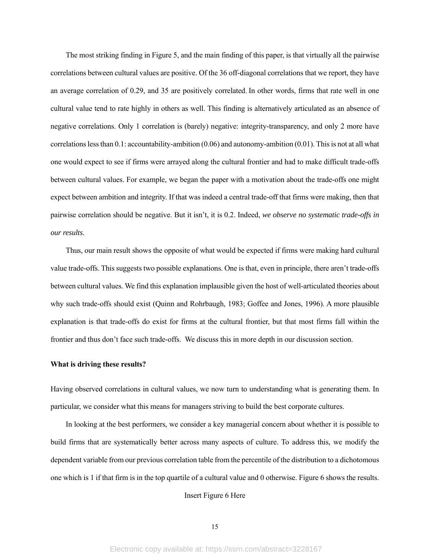The most striking finding in Figure 5, and the main finding of this paper, is that virtually all the pairwise correlations between cultural values are positive. Of the 36 off-diagonal correlations that we report, they have an average correlation of 0.29, and 35 are positively correlated. In other words, firms that rate well in one cultural value tend to rate highly in others as well. This finding is alternatively articulated as an absence of negative correlations. Only 1 correlation is (barely) negative: integrity-transparency, and only 2 more have correlations less than 0.1: accountability-ambition (0.06) and autonomy-ambition (0.01). This is not at all what one would expect to see if firms were arrayed along the cultural frontier and had to make difficult trade-offs between cultural values. For example, we began the paper with a motivation about the trade-offs one might expect between ambition and integrity. If that was indeed a central trade-off that firms were making, then that pairwise correlation should be negative. But it isn't, it is 0.2. Indeed, *we observe no systematic trade-offs in our results*.

Thus, our main result shows the opposite of what would be expected if firms were making hard cultural value trade-offs. This suggests two possible explanations. One is that, even in principle, there aren't trade-offs between cultural values. We find this explanation implausible given the host of well-articulated theories about why such trade-offs should exist (Quinn and Rohrbaugh, 1983; Goffee and Jones, 1996). A more plausible explanation is that trade-offs do exist for firms at the cultural frontier, but that most firms fall within the frontier and thus don't face such trade-offs. We discuss this in more depth in our discussion section.

#### **What is driving these results?**

Having observed correlations in cultural values, we now turn to understanding what is generating them. In particular, we consider what this means for managers striving to build the best corporate cultures.

In looking at the best performers, we consider a key managerial concern about whether it is possible to build firms that are systematically better across many aspects of culture. To address this, we modify the dependent variable from our previous correlation table from the percentile of the distribution to a dichotomous one which is 1 if that firm is in the top quartile of a cultural value and 0 otherwise. Figure 6 shows the results.

#### Insert Figure 6 Here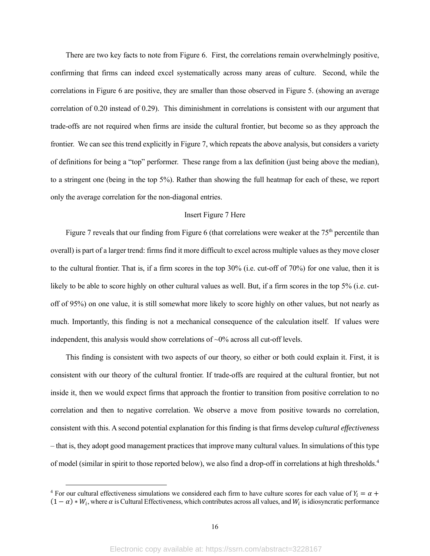There are two key facts to note from Figure 6. First, the correlations remain overwhelmingly positive, confirming that firms can indeed excel systematically across many areas of culture. Second, while the correlations in Figure 6 are positive, they are smaller than those observed in Figure 5. (showing an average correlation of 0.20 instead of 0.29). This diminishment in correlations is consistent with our argument that trade-offs are not required when firms are inside the cultural frontier, but become so as they approach the frontier. We can see this trend explicitly in Figure 7, which repeats the above analysis, but considers a variety of definitions for being a "top" performer. These range from a lax definition (just being above the median), to a stringent one (being in the top 5%). Rather than showing the full heatmap for each of these, we report only the average correlation for the non-diagonal entries.

#### Insert Figure 7 Here

Figure 7 reveals that our finding from Figure 6 (that correlations were weaker at the  $75<sup>th</sup>$  percentile than overall) is part of a larger trend: firms find it more difficult to excel across multiple values as they move closer to the cultural frontier. That is, if a firm scores in the top 30% (i.e. cut-off of 70%) for one value, then it is likely to be able to score highly on other cultural values as well. But, if a firm scores in the top 5% (i.e. cutoff of 95%) on one value, it is still somewhat more likely to score highly on other values, but not nearly as much. Importantly, this finding is not a mechanical consequence of the calculation itself. If values were independent, this analysis would show correlations of ~0% across all cut-off levels.

This finding is consistent with two aspects of our theory, so either or both could explain it. First, it is consistent with our theory of the cultural frontier. If trade-offs are required at the cultural frontier, but not inside it, then we would expect firms that approach the frontier to transition from positive correlation to no correlation and then to negative correlation. We observe a move from positive towards no correlation, consistent with this. A second potential explanation for this finding is that firms develop *cultural effectiveness* – that is, they adopt good management practices that improve many cultural values. In simulations of this type of model (similar in spirit to those reported below), we also find a drop-off in correlations at high thresholds.<sup>4</sup>

<sup>&</sup>lt;sup>4</sup> For our cultural effectiveness simulations we considered each firm to have culture scores for each value of  $Y_i = \alpha +$  $(1 - \alpha) * W_i$ , where  $\alpha$  is Cultural Effectiveness, which contributes across all values, and  $W_i$  is idiosyncratic performance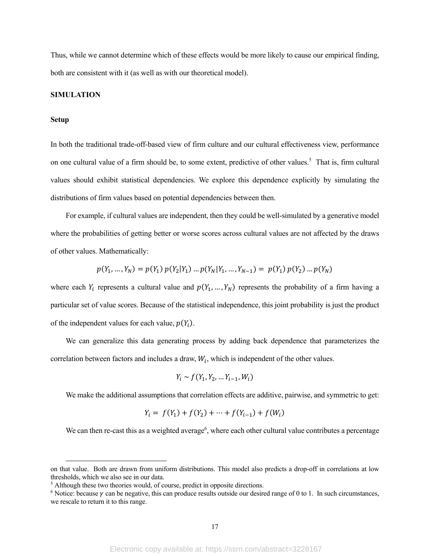Thus, while we cannot determine which of these effects would be more likely to cause our empirical finding, both are consistent with it (as well as with our theoretical model).

### **SIMULATION**

#### **Setup**

In both the traditional trade-off-based view of firm culture and our cultural effectiveness view, performance on one cultural value of a firm should be, to some extent, predictive of other values.<sup>5</sup> That is, firm cultural values should exhibit statistical dependencies. We explore this dependence explicitly by simulating the distributions of firm values based on potential dependencies between then.

For example, if cultural values are independent, then they could be well-simulated by a generative model where the probabilities of getting better or worse scores across cultural values are not affected by the draws of other values. Mathematically:

$$
p(Y_1, ..., Y_N) = p(Y_1) p(Y_2|Y_1) ... p(Y_N|Y_1, ..., Y_{N-1}) = p(Y_1) p(Y_2) ... p(Y_N)
$$

where each  $Y_i$  represents a cultural value and  $p(Y_1, ..., Y_N)$  represents the probability of a firm having a particular set of value scores. Because of the statistical independence, this joint probability is just the product of the independent values for each value,  $p(Y_i)$ .

We can generalize this data generating process by adding back dependence that parameterizes the correlation between factors and includes a draw,  $W_i$ , which is independent of the other values.

$$
Y_i \sim f(Y_1, Y_2, \dots Y_{i-1}, W_i)
$$

We make the additional assumptions that correlation effects are additive, pairwise, and symmetric to get:

$$
Y_i = f(Y_1) + f(Y_2) + \dots + f(Y_{i-1}) + f(W_i)
$$

We can then re-cast this as a weighted average<sup>6</sup>, where each other cultural value contributes a percentage

on that value. Both are drawn from uniform distributions. This model also predicts a drop-off in correlations at low thresholds, which we also see in our data.

<sup>&</sup>lt;sup>5</sup> Although these two theories would, of course, predict in opposite directions.

<sup>&</sup>lt;sup>6</sup> Notice: because  $\gamma$  can be negative, this can produce results outside our desired range of 0 to 1. In such circumstances, we rescale to return it to this range.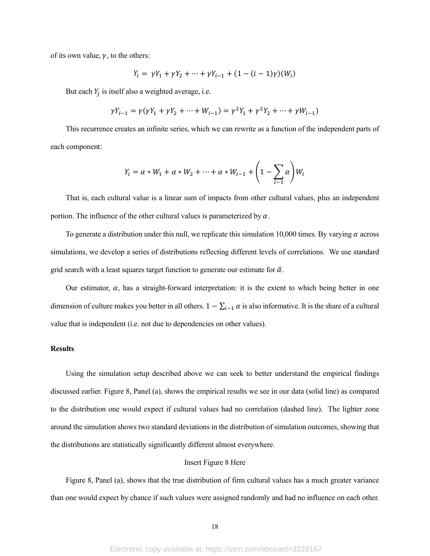of its own value,  $\gamma$ , to the others:

$$
Y_i = \gamma Y_1 + \gamma Y_2 + \dots + \gamma Y_{i-1} + (1 - (i - 1)\gamma)(W_i)
$$

But each  $Y_i$  is itself also a weighted average, i.e.

$$
\gamma Y_{i-1} = \gamma(\gamma Y_1 + \gamma Y_2 + \dots + W_{i-1}) = \gamma^2 Y_1 + \gamma^2 Y_2 + \dots + \gamma W_{i-1})
$$

This recurrence creates an infinite series, which we can rewrite as a function of the independent parts of each component:

$$
Y_i = \alpha * W_1 + \alpha * W_2 + \dots + \alpha * W_{i-1} + \left(1 - \sum_{i=1}^n \alpha\right)W_i
$$

That is, each cultural value is a linear sum of impacts from other cultural values, plus an independent portion. The influence of the other cultural values is parameterized by  $\alpha$ .

To generate a distribution under this null, we replicate this simulation 10,000 times. By varying  $\alpha$  across simulations, we develop a series of distributions reflecting different levels of correlations. We use standard grid search with a least squares target function to generate our estimate for  $\hat{\alpha}$ .

Our estimator,  $\alpha$ , has a straight-forward interpretation: it is the extent to which being better in one dimension of culture makes you better in all others.  $1 - \sum_{i=1}^{\infty} \alpha$  is also informative. It is the share of a cultural value that is independent (i.e. not due to dependencies on other values).

## **Results**

Using the simulation setup described above we can seek to better understand the empirical findings discussed earlier. Figure 8, Panel (a), shows the empirical results we see in our data (solid line) as compared to the distribution one would expect if cultural values had no correlation (dashed line). The lighter zone around the simulation shows two standard deviations in the distribution of simulation outcomes, showing that the distributions are statistically significantly different almost everywhere.

## Insert Figure 8 Here

Figure 8, Panel (a), shows that the true distribution of firm cultural values has a much greater variance than one would expect by chance if such values were assigned randomly and had no influence on each other.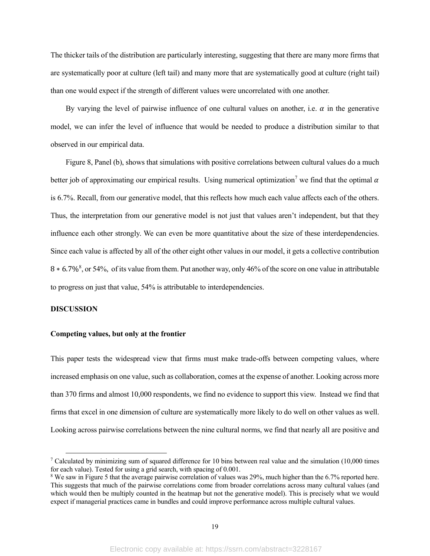The thicker tails of the distribution are particularly interesting, suggesting that there are many more firms that are systematically poor at culture (left tail) and many more that are systematically good at culture (right tail) than one would expect if the strength of different values were uncorrelated with one another.

By varying the level of pairwise influence of one cultural values on another, i.e.  $\alpha$  in the generative model, we can infer the level of influence that would be needed to produce a distribution similar to that observed in our empirical data.

Figure 8, Panel (b), shows that simulations with positive correlations between cultural values do a much better job of approximating our empirical results. Using numerical optimization<sup>7</sup> we find that the optimal  $\alpha$ is 6.7%. Recall, from our generative model, that this reflects how much each value affects each of the others. Thus, the interpretation from our generative model is not just that values aren't independent, but that they influence each other strongly. We can even be more quantitative about the size of these interdependencies. Since each value is affected by all of the other eight other values in our model, it gets a collective contribution 8  $*$  6.7%<sup>8</sup>, or 54%, of its value from them. Put another way, only 46% of the score on one value in attributable to progress on just that value, 54% is attributable to interdependencies.

# **DISCUSSION**

## **Competing values, but only at the frontier**

This paper tests the widespread view that firms must make trade-offs between competing values, where increased emphasis on one value, such as collaboration, comes at the expense of another. Looking across more than 370 firms and almost 10,000 respondents, we find no evidence to support this view. Instead we find that firms that excel in one dimension of culture are systematically more likely to do well on other values as well. Looking across pairwise correlations between the nine cultural norms, we find that nearly all are positive and

<sup>&</sup>lt;sup>7</sup> Calculated by minimizing sum of squared difference for 10 bins between real value and the simulation (10,000 times for each value). Tested for using a grid search, with spacing of 0.001.

<sup>&</sup>lt;sup>8</sup> We saw in Figure 5 that the average pairwise correlation of values was 29%, much higher than the 6.7% reported here. This suggests that much of the pairwise correlations come from broader correlations across many cultural values (and which would then be multiply counted in the heatmap but not the generative model). This is precisely what we would expect if managerial practices came in bundles and could improve performance across multiple cultural values.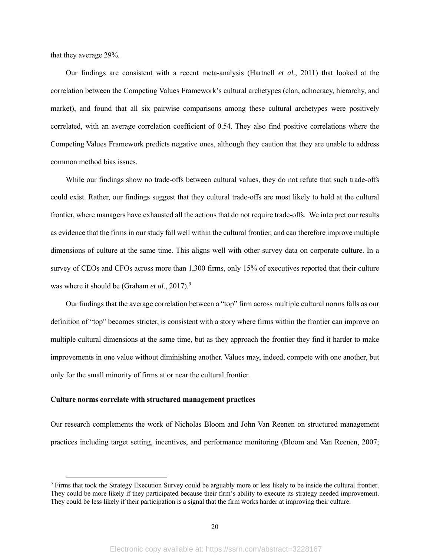that they average 29%.

Our findings are consistent with a recent meta-analysis (Hartnell *et al*., 2011) that looked at the correlation between the Competing Values Framework's cultural archetypes (clan, adhocracy, hierarchy, and market), and found that all six pairwise comparisons among these cultural archetypes were positively correlated, with an average correlation coefficient of 0.54. They also find positive correlations where the Competing Values Framework predicts negative ones, although they caution that they are unable to address common method bias issues.

While our findings show no trade-offs between cultural values, they do not refute that such trade-offs could exist. Rather, our findings suggest that they cultural trade-offs are most likely to hold at the cultural frontier, where managers have exhausted all the actions that do not require trade-offs. We interpret our results as evidence that the firms in our study fall well within the cultural frontier, and can therefore improve multiple dimensions of culture at the same time. This aligns well with other survey data on corporate culture. In a survey of CEOs and CFOs across more than 1,300 firms, only 15% of executives reported that their culture was where it should be (Graham *et al.*, 2017).<sup>9</sup>

Our findings that the average correlation between a "top" firm across multiple cultural norms falls as our definition of "top" becomes stricter, is consistent with a story where firms within the frontier can improve on multiple cultural dimensions at the same time, but as they approach the frontier they find it harder to make improvements in one value without diminishing another. Values may, indeed, compete with one another, but only for the small minority of firms at or near the cultural frontier.

#### **Culture norms correlate with structured management practices**

Our research complements the work of Nicholas Bloom and John Van Reenen on structured management practices including target setting, incentives, and performance monitoring (Bloom and Van Reenen, 2007;

<sup>&</sup>lt;sup>9</sup> Firms that took the Strategy Execution Survey could be arguably more or less likely to be inside the cultural frontier. They could be more likely if they participated because their firm's ability to execute its strategy needed improvement. They could be less likely if their participation is a signal that the firm works harder at improving their culture.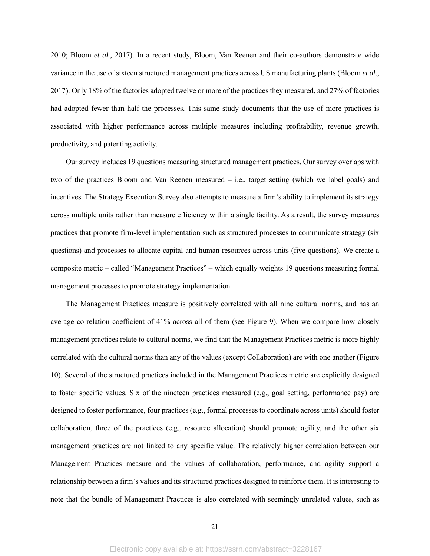2010; Bloom *et al*., 2017). In a recent study, Bloom, Van Reenen and their co-authors demonstrate wide variance in the use of sixteen structured management practices across US manufacturing plants (Bloom *et al*., 2017). Only 18% of the factories adopted twelve or more of the practices they measured, and 27% of factories had adopted fewer than half the processes. This same study documents that the use of more practices is associated with higher performance across multiple measures including profitability, revenue growth, productivity, and patenting activity.

Our survey includes 19 questions measuring structured management practices. Our survey overlaps with two of the practices Bloom and Van Reenen measured – i.e., target setting (which we label goals) and incentives. The Strategy Execution Survey also attempts to measure a firm's ability to implement its strategy across multiple units rather than measure efficiency within a single facility. As a result, the survey measures practices that promote firm-level implementation such as structured processes to communicate strategy (six questions) and processes to allocate capital and human resources across units (five questions). We create a composite metric – called "Management Practices" – which equally weights 19 questions measuring formal management processes to promote strategy implementation.

The Management Practices measure is positively correlated with all nine cultural norms, and has an average correlation coefficient of 41% across all of them (see Figure 9). When we compare how closely management practices relate to cultural norms, we find that the Management Practices metric is more highly correlated with the cultural norms than any of the values (except Collaboration) are with one another (Figure 10). Several of the structured practices included in the Management Practices metric are explicitly designed to foster specific values. Six of the nineteen practices measured (e.g., goal setting, performance pay) are designed to foster performance, four practices (e.g., formal processes to coordinate across units) should foster collaboration, three of the practices (e.g., resource allocation) should promote agility, and the other six management practices are not linked to any specific value. The relatively higher correlation between our Management Practices measure and the values of collaboration, performance, and agility support a relationship between a firm's values and its structured practices designed to reinforce them. It is interesting to note that the bundle of Management Practices is also correlated with seemingly unrelated values, such as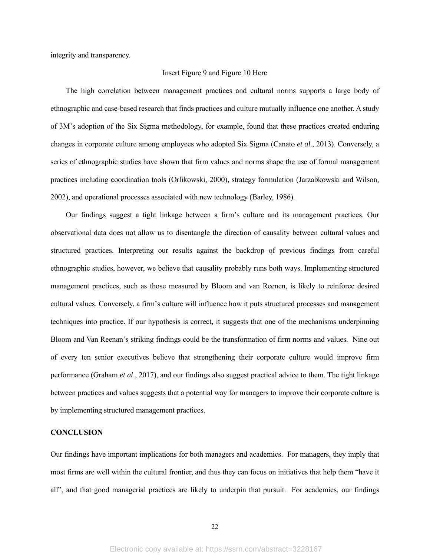integrity and transparency.

# Insert Figure 9 and Figure 10 Here

The high correlation between management practices and cultural norms supports a large body of ethnographic and case-based research that finds practices and culture mutually influence one another. A study of 3M's adoption of the Six Sigma methodology, for example, found that these practices created enduring changes in corporate culture among employees who adopted Six Sigma (Canato *et al*., 2013). Conversely, a series of ethnographic studies have shown that firm values and norms shape the use of formal management practices including coordination tools (Orlikowski, 2000), strategy formulation (Jarzabkowski and Wilson, 2002), and operational processes associated with new technology (Barley, 1986).

Our findings suggest a tight linkage between a firm's culture and its management practices. Our observational data does not allow us to disentangle the direction of causality between cultural values and structured practices. Interpreting our results against the backdrop of previous findings from careful ethnographic studies, however, we believe that causality probably runs both ways. Implementing structured management practices, such as those measured by Bloom and van Reenen, is likely to reinforce desired cultural values. Conversely, a firm's culture will influence how it puts structured processes and management techniques into practice. If our hypothesis is correct, it suggests that one of the mechanisms underpinning Bloom and Van Reenan's striking findings could be the transformation of firm norms and values. Nine out of every ten senior executives believe that strengthening their corporate culture would improve firm performance (Graham *et al*., 2017), and our findings also suggest practical advice to them. The tight linkage between practices and values suggests that a potential way for managers to improve their corporate culture is by implementing structured management practices.

# **CONCLUSION**

Our findings have important implications for both managers and academics. For managers, they imply that most firms are well within the cultural frontier, and thus they can focus on initiatives that help them "have it all", and that good managerial practices are likely to underpin that pursuit. For academics, our findings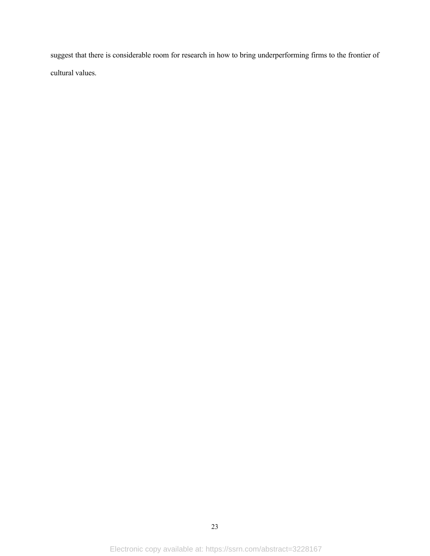suggest that there is considerable room for research in how to bring underperforming firms to the frontier of cultural values.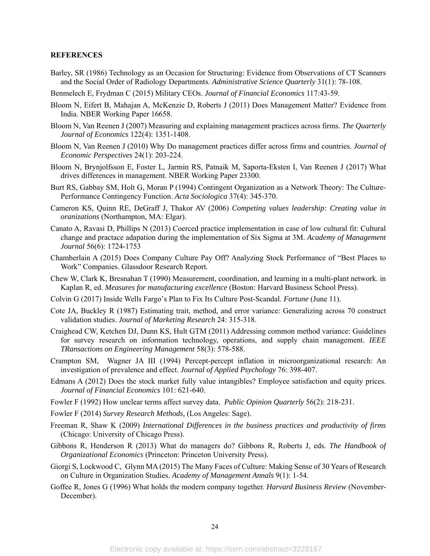# **REFERENCES**

- Barley, SR (1986) Technology as an Occasion for Structuring: Evidence from Observations of CT Scanners and the Social Order of Radiology Departments. *Administrative Science Quarterly* 31(1): 78-108.
- Benmelech E, Frydman C (2015) Military CEOs. *Journal of Financial Economics* 117:43-59.
- Bloom N, Eifert B, Mahajan A, McKenzie D, Roberts J (2011) Does Management Matter? Evidence from India. NBER Working Paper 16658.
- Bloom N, Van Reenen J (2007) Measuring and explaining management practices across firms. *The Quarterly Journal of Economics* 122(4): 1351-1408.
- Bloom N, Van Reenen J (2010) Why Do management practices differ across firms and countries. *Journal of Economic Perspectives* 24(1): 203-224.
- Bloom N, Brynjolfsson E, Foster L, Jarmin RS, Patnaik M, Saporta-Eksten I, Van Reenen J (2017) What drives differences in management. NBER Working Paper 23300.
- Burt RS, Gabbay SM, Holt G, Moran P (1994) Contingent Organization as a Network Theory: The Culture-Performance Contingency Function. *Acta Sociologica* 37(4): 345-370.
- Cameron KS, Quinn RE, DeGraff J, Thakor AV (2006) *Competing values leadership: Creating value in oranizations* (Northampton, MA: Elgar).
- Canato A, Ravasi D, Phillips N (2013) Coerced practice implementation in case of low cultural fit: Cultural change and practace adapation during the implementation of Six Sigma at 3M. *Academy of Management Journal* 56(6): 1724-1753
- Chamberlain A (2015) Does Company Culture Pay Off? Analyzing Stock Performance of "Best Places to Work" Companies. Glassdoor Research Report*.*
- Chew W, Clark K, Bresnahan T (1990) Measurement, coordination, and learning in a multi-plant network. in Kaplan R, ed. *Measures for manufacturing excellence* (Boston: Harvard Business School Press).
- Colvin G (2017) Inside Wells Fargo's Plan to Fix Its Culture Post-Scandal. *Fortune* (June 11).
- Cote JA, Buckley R (1987) Estimating trait, method, and error variance: Generalizing across 70 construct validation studies. *Journal of Marketing Research* 24: 315-318.
- Craighead CW, Ketchen DJ, Dunn KS, Hult GTM (2011) Addressing common method variance: Guidelines for survey research on information technology, operations, and supply chain management. *IEEE TRansactions on Engineering Management* 58(3): 578-588.
- Crampton SM, Wagner JA III (1994) Percept-percept inflation in microorganizational research: An investigation of prevalence and effect. *Journal of Applied Psychology* 76: 398-407.
- Edmans A (2012) Does the stock market fully value intangibles? Employee satisfaction and equity prices. *Journal of Financial Economics* 101: 621-640.
- Fowler F (1992) How unclear terms affect survey data. *Public Opinion Quarterly* 56(2): 218-231.
- Fowler F (2014) *Survey Research Methods,* (Los Angeles: Sage).
- Freeman R, Shaw K (2009) *International Differences in the business practices and productivity of firms* (Chicago: University of Chicago Press).
- Gibbons R, Henderson R (2013) What do managers do? Gibbons R, Roberts J, eds. *The Handbook of Organizational Economics* (Princeton: Princeton University Press).
- Giorgi S, Lockwood C, Glynn MA (2015) The Many Faces of Culture: Making Sense of 30 Years of Research on Culture in Organization Studies. *Academy of Management Annals* 9(1): 1-54.
- Goffee R, Jones G (1996) What holds the modern company together. *Harvard Business Review* (November-December).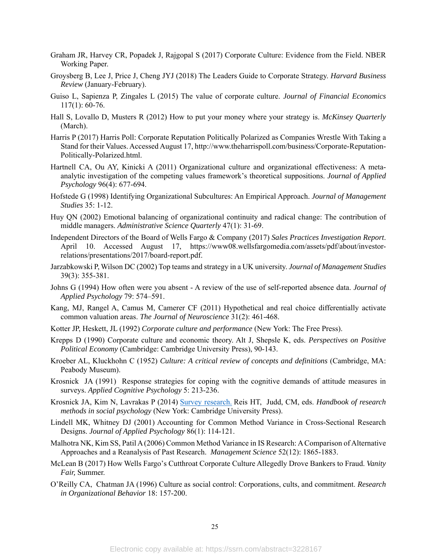- Graham JR, Harvey CR, Popadek J, Rajgopal S (2017) Corporate Culture: Evidence from the Field. NBER Working Paper.
- Groysberg B, Lee J, Price J, Cheng JYJ (2018) The Leaders Guide to Corporate Strategy. *Harvard Business Review* (January-February).
- Guiso L, Sapienza P, Zingales L (2015) The value of corporate culture. *Journal of Financial Economics*  117(1): 60-76.
- Hall S, Lovallo D, Musters R (2012) How to put your money where your strategy is. *McKinsey Quarterly* (March).
- Harris P (2017) Harris Poll: Corporate Reputation Politically Polarized as Companies Wrestle With Taking a Stand for their Values. Accessed August 17, http://www.theharrispoll.com/business/Corporate-Reputation-Politically-Polarized.html.
- Hartnell CA, Ou AY, Kinicki A (2011) Organizational culture and organizational effectiveness: A metaanalytic investigation of the competing values framework's theoretical suppositions. *Journal of Applied Psychology* 96(4): 677-694.
- Hofstede G (1998) Identifying Organizational Subcultures: An Empirical Approach. *Journal of Management Studies* 35: 1-12.
- Huy QN (2002) Emotional balancing of organizational continuity and radical change: The contribution of middle managers. *Administrative Science Quarterly* 47(1): 31-69.
- Independent Directors of the Board of Wells Fargo & Company (2017) *Sales Practices Investigation Report*. April 10. Accessed August 17, https://www08.wellsfargomedia.com/assets/pdf/about/investorrelations/presentations/2017/board-report.pdf.
- Jarzabkowski P, Wilson DC (2002) Top teams and strategy in a UK university. *Journal of Management Studies* 39(3): 355-381.
- Johns G (1994) How often were you absent A review of the use of self-reported absence data. *Journal of Applied Psychology* 79: 574–591.
- Kang, MJ, Rangel A, Camus M, Camerer CF (2011) Hypothetical and real choice differentially activate common valuation areas. *The Journal of Neuroscience* 31(2): 461-468.
- Kotter JP, Heskett, JL (1992) *Corporate culture and performance* (New York: The Free Press).
- Krepps D (1990) Corporate culture and economic theory. Alt J, Shepsle K, eds. *Perspectives on Positive Political Economy* (Cambridge: Cambridge University Press), 90-143.
- Kroeber AL, Kluckhohn C (1952) *Culture: A critical review of concepts and definitions* (Cambridge, MA: Peabody Museum).
- Krosnick JA (1991) Response strategies for coping with the cognitive demands of attitude measures in surveys. *Applied Cognitive Psychology* 5: 213-236.
- Krosnick JA, Kim N, Lavrakas P (2014) Survey research. Reis HT, Judd, CM, eds. *Handbook of research methods in social psychology* (New York: Cambridge University Press).
- Lindell MK, Whitney DJ (2001) Accounting for Common Method Variance in Cross-Sectional Research Designs. *Journal of Applied Psychology* 86(1): 114-121.
- Malhotra NK, Kim SS, Patil A (2006) Common Method Variance in IS Research: A Comparison of Alternative Approaches and a Reanalysis of Past Research. *Management Science* 52(12): 1865-1883.
- McLean B (2017) How Wells Fargo's Cutthroat Corporate Culture Allegedly Drove Bankers to Fraud. *Vanity Fair,* Summer.
- O'Reilly CA, Chatman JA (1996) Culture as social control: Corporations, cults, and commitment. *Research in Organizational Behavior* 18: 157-200.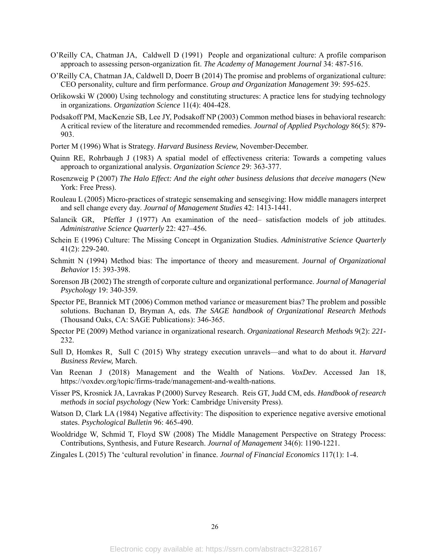- O'Reilly CA, Chatman JA, Caldwell D (1991) People and organizational culture: A profile comparison approach to assessing person-organization fit. *The Academy of Management Journal* 34: 487-516.
- O'Reilly CA, Chatman JA, Caldwell D, Doerr B (2014) The promise and problems of organizational culture: CEO personality, culture and firm performance. *Group and Organization Management* 39: 595-625.
- Orlikowski W (2000) Using technology and constituting structures: A practice lens for studying technology in organizations. *Organization Science* 11(4): 404-428.
- Podsakoff PM, MacKenzie SB, Lee JY, Podsakoff NP (2003) Common method biases in behavioral research: A critical review of the literature and recommended remedies. *Journal of Applied Psychology* 86(5): 879- 903.
- Porter M (1996) What is Strategy. *Harvard Business Review,* November-December.
- Quinn RE, Rohrbaugh J (1983) A spatial model of effectiveness criteria: Towards a competing values approach to organizational analysis. *Organization Science* 29: 363-377.
- Rosenzweig P (2007) *The Halo Effect: And the eight other business delusions that deceive managers* (New York: Free Press).
- Rouleau L (2005) Micro-practices of strategic sensemaking and sensegiving: How middle managers interpret and sell change every day. *Journal of Management Studies* 42: 1413-1441.
- Salancik GR, Pfeffer J (1977) An examination of the need– satisfaction models of job attitudes. *Administrative Science Quarterly* 22: 427–456.
- Schein E (1996) Culture: The Missing Concept in Organization Studies. *Administrative Science Quarterly* 41(2): 229-240.
- Schmitt N (1994) Method bias: The importance of theory and measurement. *Journal of Organizational Behavior* 15: 393-398.
- Sorenson JB (2002) The strength of corporate culture and organizational performance. *Journal of Managerial Psychology* 19: 340-359.
- Spector PE, Brannick MT (2006) Common method variance or measurement bias? The problem and possible solutions. Buchanan D, Bryman A, eds. *The SAGE handbook of Organizational Research Methods* (Thousand Oaks, CA: SAGE Publications): 346-365.
- Spector PE (2009) Method variance in organizational research. *Organizational Research Methods* 9(2): *221* 232.
- Sull D, Homkes R, Sull C (2015) Why strategy execution unravels—and what to do about it. *Harvard Business Review,* March.
- Van Reenan J (2018) Management and the Wealth of Nations. *VoxDev*. Accessed Jan 18, https://voxdev.org/topic/firms-trade/management-and-wealth-nations.
- Visser PS, Krosnick JA, Lavrakas P (2000) Survey Research. Reis GT, Judd CM, eds. *Handbook of research methods in social psychology* (New York: Cambridge University Press).
- Watson D, Clark LA (1984) Negative affectivity: The disposition to experience negative aversive emotional states. *Psychological Bulletin* 96: 465-490.
- Wooldridge W, Schmid T, Floyd SW (2008) The Middle Management Perspective on Strategy Process: Contributions, Synthesis, and Future Research. *Journal of Management* 34(6): 1190-1221.

Zingales L (2015) The 'cultural revolution' in finance. *Journal of Financial Economics* 117(1): 1-4.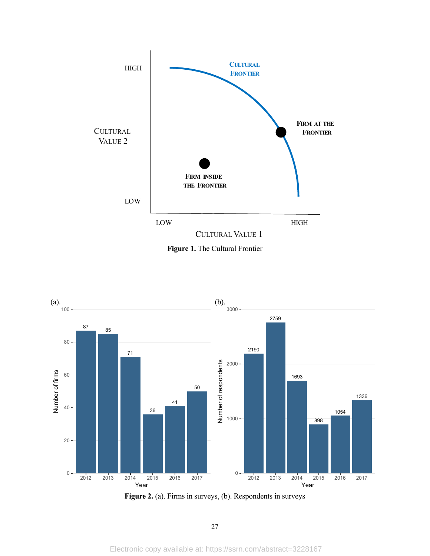



Figure 2. (a). Firms in surveys, (b). Respondents in surveys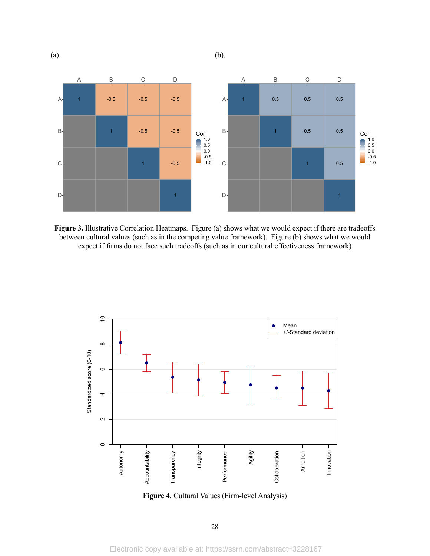

Figure 3. Illustrative Correlation Heatmaps. Figure (a) shows what we would expect if there are tradeoffs between cultural values (such as in the competing value framework). Figure (b) shows what we would expect if firms do not face such tradeoffs (such as in our cultural effectiveness framework)



**Figure 4.** Cultural Values (Firm-level Analysis)

28

Electronic copy available at: https://ssrn.com/abstract=3228167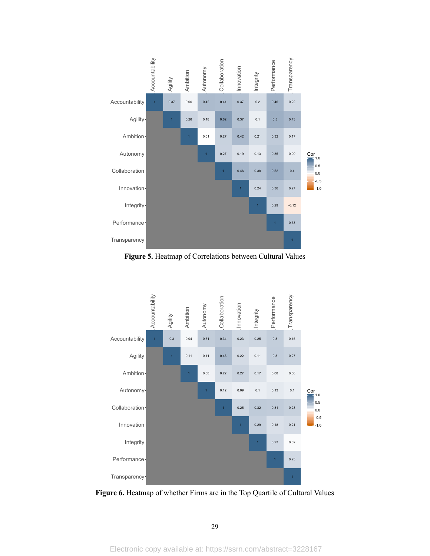

**Figure 5.** Heatmap of Correlations between Cultural Values



**Figure 6.** Heatmap of whether Firms are in the Top Quartile of Cultural Values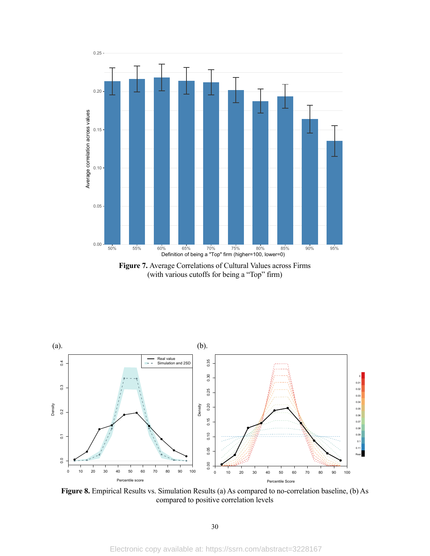

**Figure 7.** Average Correlations of Cultural Values across Firms (with various cutoffs for being a "Top" firm)



**Figure 8.** Empirical Results vs. Simulation Results (a) As compared to no-correlation baseline, (b) As compared to positive correlation levels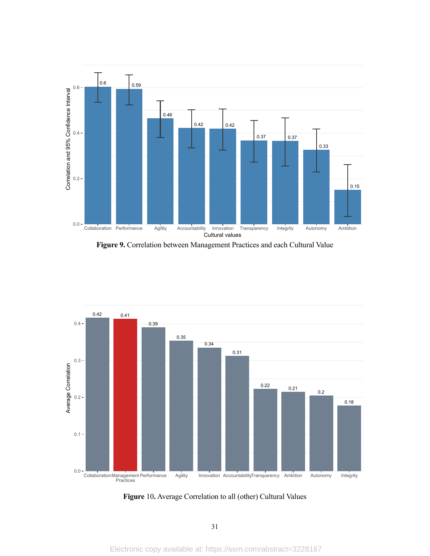

**Figure 9.** Correlation between Management Practices and each Cultural Value



**Figure** 10**.** Average Correlation to all (other) Cultural Values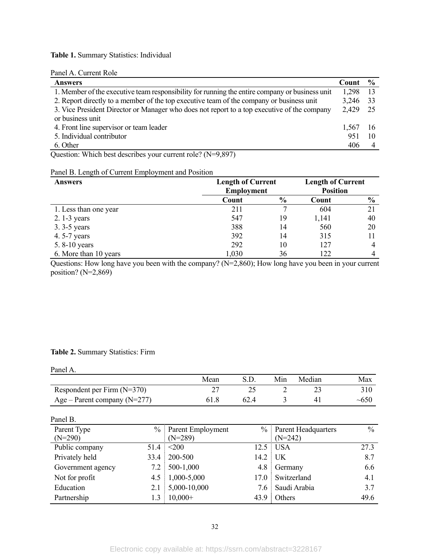# **Table 1.** Summary Statistics: Individual

# Panel A. Current Role

| <b>Answers</b>                                                                                 | Count    | $\frac{6}{9}$ |
|------------------------------------------------------------------------------------------------|----------|---------------|
| 1. Member of the executive team responsibility for running the entire company or business unit | 1.298    |               |
| 2. Report directly to a member of the top executive team of the company or business unit       | 3,246 33 |               |
| 3. Vice President Director or Manager who does not report to a top executive of the company    | 2,429 25 |               |
| or business unit                                                                               |          |               |
| 4. Front line supervisor or team leader                                                        | 1,567 16 |               |
| 5. Individual contributor                                                                      | 951      |               |
| 6. Other                                                                                       | 406      |               |

Question: Which best describes your current role? (N=9,897)

# Panel B. Length of Current Employment and Position

| Answers               | <b>Length of Current</b><br><b>Employment</b> |               | <b>Length of Current</b><br><b>Position</b> |               |  |
|-----------------------|-----------------------------------------------|---------------|---------------------------------------------|---------------|--|
|                       |                                               |               |                                             |               |  |
|                       | Count                                         | $\frac{0}{0}$ | Count                                       | $\frac{6}{9}$ |  |
| 1. Less than one year | 211                                           |               | 604                                         | 21            |  |
| $2.1-3$ years         | 547                                           | 19            | 1,141                                       | 40            |  |
| 3.3-5 years           | 388                                           | 14            | 560                                         | 20            |  |
| 4.5-7 years           | 392                                           | 14            | 315                                         |               |  |
| 5.8-10 years          | 292                                           | 10            | 127                                         |               |  |
| 6. More than 10 years | 1,030                                         | 36            | 122                                         |               |  |

Questions: How long have you been with the company? (N=2,860); How long have you been in your current position? (N=2,869)

# **Table 2.** Summary Statistics: Firm

#### Panel A.

|                                  | Mean |      | Min | Median | Max        |
|----------------------------------|------|------|-----|--------|------------|
| Respondent per Firm $(N=370)$    |      |      |     |        |            |
| Age – Parent company ( $N=277$ ) | 61.8 | 62.4 |     |        | $\sim 650$ |

| Panel B.          |               |                   |      |                            |      |
|-------------------|---------------|-------------------|------|----------------------------|------|
| Parent Type       | $\frac{0}{0}$ | Parent Employment | $\%$ | <b>Parent Headquarters</b> | $\%$ |
| $(N=290)$         |               | $(N=289)$         |      | $(N=242)$                  |      |
| Public company    | 51.4          | $200$             | 12.5 | USA                        | 27.3 |
| Privately held    | 33.4          | 200-500           | 14.2 | $\vert$ UK                 | 8.7  |
| Government agency | 7.2           | 500-1,000         | 4.8  | Germany                    | 6.6  |
| Not for profit    | 4.5           | 1,000-5,000       | 17.0 | Switzerland                | 4.1  |
| Education         | 2.1           | 5,000-10,000      | 7.6  | Saudi Arabia               | 3.7  |
| Partnership       | 1.3           | $10,000+$         | 43.9 | Others                     | 49.6 |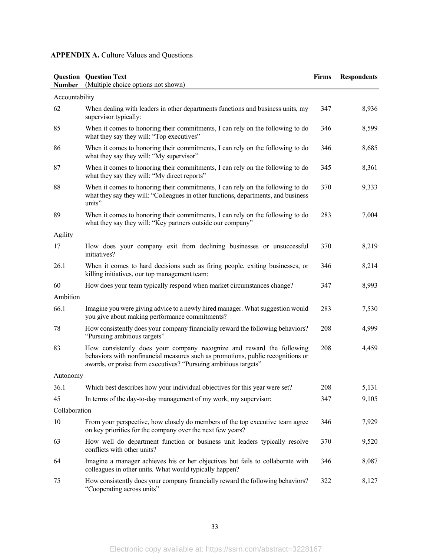# **APPENDIX A.** Culture Values and Questions

| <b>Number</b>  | <b>Question</b> Question Text<br>(Multiple choice options not shown)                                                                                                                                                        | <b>Firms</b> | <b>Respondents</b> |
|----------------|-----------------------------------------------------------------------------------------------------------------------------------------------------------------------------------------------------------------------------|--------------|--------------------|
| Accountability |                                                                                                                                                                                                                             |              |                    |
| 62             | When dealing with leaders in other departments functions and business units, my<br>supervisor typically:                                                                                                                    | 347          | 8,936              |
| 85             | When it comes to honoring their commitments, I can rely on the following to do<br>what they say they will: "Top executives"                                                                                                 | 346          | 8,599              |
| 86             | When it comes to honoring their commitments, I can rely on the following to do<br>what they say they will: "My supervisor"                                                                                                  | 346          | 8,685              |
| 87             | When it comes to honoring their commitments, I can rely on the following to do<br>what they say they will: "My direct reports"                                                                                              | 345          | 8,361              |
| 88             | When it comes to honoring their commitments, I can rely on the following to do<br>what they say they will: "Colleagues in other functions, departments, and business<br>units"                                              | 370          | 9,333              |
| 89             | When it comes to honoring their commitments, I can rely on the following to do<br>what they say they will: "Key partners outside our company"                                                                               | 283          | 7,004              |
| Agility        |                                                                                                                                                                                                                             |              |                    |
| 17             | How does your company exit from declining businesses or unsuccessful<br>initiatives?                                                                                                                                        | 370          | 8,219              |
| 26.1           | When it comes to hard decisions such as firing people, exiting businesses, or<br>killing initiatives, our top management team:                                                                                              | 346          | 8,214              |
| 60             | How does your team typically respond when market circumstances change?                                                                                                                                                      | 347          | 8,993              |
| Ambition       |                                                                                                                                                                                                                             |              |                    |
| 66.1           | Imagine you were giving advice to a newly hired manager. What suggestion would<br>you give about making performance commitments?                                                                                            | 283          | 7,530              |
| 78             | How consistently does your company financially reward the following behaviors?<br>"Pursuing ambitious targets"                                                                                                              | 208          | 4,999              |
| 83             | How consistently does your company recognize and reward the following<br>behaviors with nonfinancial measures such as promotions, public recognitions or<br>awards, or praise from executives? "Pursuing ambitious targets" | 208          | 4,459              |
| Autonomy       |                                                                                                                                                                                                                             |              |                    |
| 36.1           | Which best describes how your individual objectives for this year were set?                                                                                                                                                 | 208          | 5,131              |
| 45             | In terms of the day-to-day management of my work, my supervisor:                                                                                                                                                            | 347          | 9,105              |
| Collaboration  |                                                                                                                                                                                                                             |              |                    |
| 10             | From your perspective, how closely do members of the top executive team agree<br>on key priorities for the company over the next few years?                                                                                 | 346          | 7,929              |
| 63             | How well do department function or business unit leaders typically resolve<br>conflicts with other units?                                                                                                                   | 370          | 9,520              |
| 64             | Imagine a manager achieves his or her objectives but fails to collaborate with<br>colleagues in other units. What would typically happen?                                                                                   | 346          | 8,087              |
| 75             | How consistently does your company financially reward the following behaviors?<br>"Cooperating across units"                                                                                                                | 322          | 8,127              |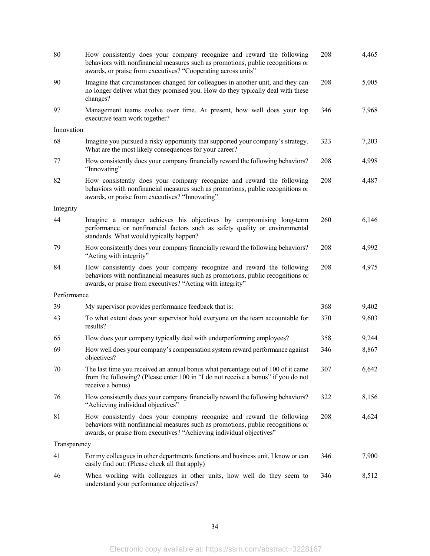| 80           | How consistently does your company recognize and reward the following<br>behaviors with nonfinancial measures such as promotions, public recognitions or<br>awards, or praise from executives? "Cooperating across units"        | 208 | 4,465 |
|--------------|----------------------------------------------------------------------------------------------------------------------------------------------------------------------------------------------------------------------------------|-----|-------|
| 90           | Imagine that circumstances changed for colleagues in another unit, and they can<br>no longer deliver what they promised you. How do they typically deal with these<br>changes?                                                   | 208 | 5,005 |
| 97           | Management teams evolve over time. At present, how well does your top<br>executive team work together?                                                                                                                           | 346 | 7,968 |
| Innovation   |                                                                                                                                                                                                                                  |     |       |
| 68           | Imagine you pursued a risky opportunity that supported your company's strategy.<br>What are the most likely consequences for your career?                                                                                        | 323 | 7,203 |
| 77           | How consistently does your company financially reward the following behaviors?<br>"Innovating"                                                                                                                                   | 208 | 4,998 |
| 82           | How consistently does your company recognize and reward the following<br>behaviors with nonfinancial measures such as promotions, public recognitions or<br>awards, or praise from executives? "Innovating"                      | 208 | 4,487 |
| Integrity    |                                                                                                                                                                                                                                  |     |       |
| 44           | Imagine a manager achieves his objectives by compromising long-term<br>performance or nonfinancial factors such as safety quality or environmental<br>standards. What would typically happen?                                    | 260 | 6,146 |
| 79           | How consistently does your company financially reward the following behaviors?<br>"Acting with integrity"                                                                                                                        | 208 | 4,992 |
| 84           | How consistently does your company recognize and reward the following<br>behaviors with nonfinancial measures such as promotions, public recognitions or<br>awards, or praise from executives? "Acting with integrity"           | 208 | 4,975 |
| Performance  |                                                                                                                                                                                                                                  |     |       |
| 39           | My supervisor provides performance feedback that is:                                                                                                                                                                             | 368 | 9,402 |
| 43           | To what extent does your supervisor hold everyone on the team accountable for<br>results?                                                                                                                                        | 370 | 9,603 |
| 65           | How does your company typically deal with underperforming employees?                                                                                                                                                             | 358 | 9,244 |
| 69           | How well does your company's compensation system reward performance against<br>objectives?                                                                                                                                       | 346 | 8,867 |
| 70           | The last time you received an annual bonus what percentage out of 100 of it came<br>from the following? (Please enter 100 in "I do not receive a bonus" if you do not<br>receive a bonus)                                        | 307 | 6,642 |
| 76           | How consistently does your company financially reward the following behaviors?<br>"Achieving individual objectives"                                                                                                              | 322 | 8,156 |
| 81           | How consistently does your company recognize and reward the following<br>behaviors with nonfinancial measures such as promotions, public recognitions or<br>awards, or praise from executives? "Achieving individual objectives" | 208 | 4,624 |
| Transparency |                                                                                                                                                                                                                                  |     |       |
| 41           | For my colleagues in other departments functions and business unit, I know or can<br>easily find out: (Please check all that apply)                                                                                              | 346 | 7,900 |
| 46           | When working with colleagues in other units, how well do they seem to<br>understand your performance objectives?                                                                                                                 | 346 | 8,512 |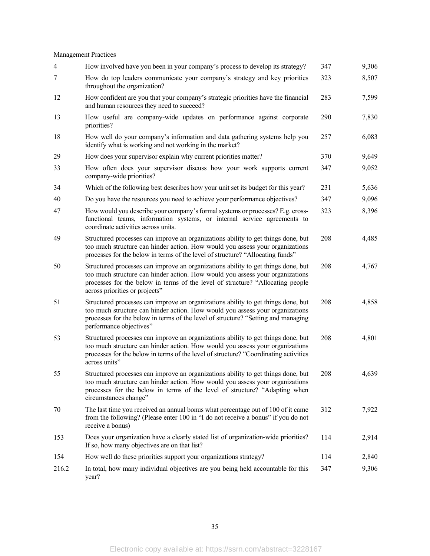# Management Practices

| $\overline{4}$ | How involved have you been in your company's process to develop its strategy?                                                                                                                                                                                                          | 347 | 9,306 |
|----------------|----------------------------------------------------------------------------------------------------------------------------------------------------------------------------------------------------------------------------------------------------------------------------------------|-----|-------|
| 7              | How do top leaders communicate your company's strategy and key priorities<br>throughout the organization?                                                                                                                                                                              | 323 | 8,507 |
| 12             | How confident are you that your company's strategic priorities have the financial<br>and human resources they need to succeed?                                                                                                                                                         | 283 | 7,599 |
| 13             | How useful are company-wide updates on performance against corporate<br>priorities?                                                                                                                                                                                                    | 290 | 7,830 |
| 18             | How well do your company's information and data gathering systems help you<br>identify what is working and not working in the market?                                                                                                                                                  | 257 | 6,083 |
| 29             | How does your supervisor explain why current priorities matter?                                                                                                                                                                                                                        | 370 | 9,649 |
| 33             | How often does your supervisor discuss how your work supports current<br>company-wide priorities?                                                                                                                                                                                      | 347 | 9,052 |
| 34             | Which of the following best describes how your unit set its budget for this year?                                                                                                                                                                                                      | 231 | 5,636 |
| 40             | Do you have the resources you need to achieve your performance objectives?                                                                                                                                                                                                             | 347 | 9,096 |
| 47             | How would you describe your company's formal systems or processes? E.g. cross-<br>functional teams, information systems, or internal service agreements to<br>coordinate activities across units.                                                                                      | 323 | 8,396 |
| 49             | Structured processes can improve an organizations ability to get things done, but<br>too much structure can hinder action. How would you assess your organizations<br>processes for the below in terms of the level of structure? "Allocating funds"                                   | 208 | 4,485 |
| 50             | Structured processes can improve an organizations ability to get things done, but<br>too much structure can hinder action. How would you assess your organizations<br>processes for the below in terms of the level of structure? "Allocating people<br>across priorities or projects" | 208 | 4,767 |
| 51             | Structured processes can improve an organizations ability to get things done, but<br>too much structure can hinder action. How would you assess your organizations<br>processes for the below in terms of the level of structure? "Setting and managing<br>performance objectives"     | 208 | 4,858 |
| 53             | Structured processes can improve an organizations ability to get things done, but<br>too much structure can hinder action. How would you assess your organizations<br>processes for the below in terms of the level of structure? "Coordinating activities<br>across units"            | 208 | 4,801 |
| 55             | Structured processes can improve an organizations ability to get things done, but<br>too much structure can hinder action. How would you assess your organizations<br>processes for the below in terms of the level of structure? "Adapting when<br>circumstances change"              | 208 | 4,639 |
| 70             | The last time you received an annual bonus what percentage out of 100 of it came<br>from the following? (Please enter 100 in "I do not receive a bonus" if you do not<br>receive a bonus)                                                                                              | 312 | 7,922 |
| 153            | Does your organization have a clearly stated list of organization-wide priorities?<br>If so, how many objectives are on that list?                                                                                                                                                     | 114 | 2,914 |
| 154            | How well do these priorities support your organizations strategy?                                                                                                                                                                                                                      | 114 | 2,840 |
| 216.2          | In total, how many individual objectives are you being held accountable for this<br>year?                                                                                                                                                                                              | 347 | 9,306 |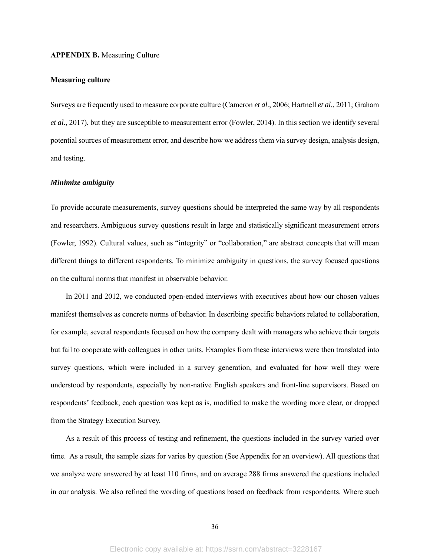### **APPENDIX B.** Measuring Culture

### **Measuring culture**

Surveys are frequently used to measure corporate culture (Cameron *et al*., 2006; Hartnell *et al*., 2011; Graham *et al*., 2017), but they are susceptible to measurement error (Fowler, 2014). In this section we identify several potential sources of measurement error, and describe how we address them via survey design, analysis design, and testing.

# *Minimize ambiguity*

To provide accurate measurements, survey questions should be interpreted the same way by all respondents and researchers. Ambiguous survey questions result in large and statistically significant measurement errors (Fowler, 1992). Cultural values, such as "integrity" or "collaboration," are abstract concepts that will mean different things to different respondents. To minimize ambiguity in questions, the survey focused questions on the cultural norms that manifest in observable behavior.

In 2011 and 2012, we conducted open-ended interviews with executives about how our chosen values manifest themselves as concrete norms of behavior. In describing specific behaviors related to collaboration, for example, several respondents focused on how the company dealt with managers who achieve their targets but fail to cooperate with colleagues in other units. Examples from these interviews were then translated into survey questions, which were included in a survey generation, and evaluated for how well they were understood by respondents, especially by non-native English speakers and front-line supervisors. Based on respondents' feedback, each question was kept as is, modified to make the wording more clear, or dropped from the Strategy Execution Survey.

As a result of this process of testing and refinement, the questions included in the survey varied over time. As a result, the sample sizes for varies by question (See Appendix for an overview). All questions that we analyze were answered by at least 110 firms, and on average 288 firms answered the questions included in our analysis. We also refined the wording of questions based on feedback from respondents. Where such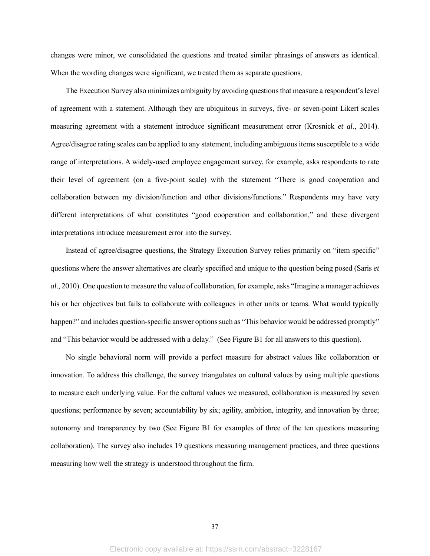changes were minor, we consolidated the questions and treated similar phrasings of answers as identical. When the wording changes were significant, we treated them as separate questions.

The Execution Survey also minimizes ambiguity by avoiding questions that measure a respondent's level of agreement with a statement. Although they are ubiquitous in surveys, five- or seven-point Likert scales measuring agreement with a statement introduce significant measurement error (Krosnick *et al*., 2014). Agree/disagree rating scales can be applied to any statement, including ambiguous items susceptible to a wide range of interpretations. A widely-used employee engagement survey, for example, asks respondents to rate their level of agreement (on a five-point scale) with the statement "There is good cooperation and collaboration between my division/function and other divisions/functions." Respondents may have very different interpretations of what constitutes "good cooperation and collaboration," and these divergent interpretations introduce measurement error into the survey.

Instead of agree/disagree questions, the Strategy Execution Survey relies primarily on "item specific" questions where the answer alternatives are clearly specified and unique to the question being posed (Saris *et al*., 2010). One question to measure the value of collaboration, for example, asks "Imagine a manager achieves his or her objectives but fails to collaborate with colleagues in other units or teams. What would typically happen?" and includes question-specific answer options such as "This behavior would be addressed promptly" and "This behavior would be addressed with a delay." (See Figure B1 for all answers to this question).

No single behavioral norm will provide a perfect measure for abstract values like collaboration or innovation. To address this challenge, the survey triangulates on cultural values by using multiple questions to measure each underlying value. For the cultural values we measured, collaboration is measured by seven questions; performance by seven; accountability by six; agility, ambition, integrity, and innovation by three; autonomy and transparency by two (See Figure B1 for examples of three of the ten questions measuring collaboration). The survey also includes 19 questions measuring management practices, and three questions measuring how well the strategy is understood throughout the firm.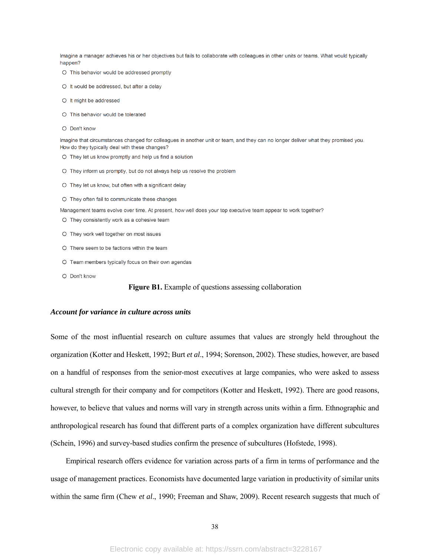Imagine a manager achieves his or her objectives but fails to collaborate with colleagues in other units or teams. What would typically happen?

- O This behavior would be addressed promptly
- O It would be addressed, but after a delay
- O It might be addressed
- O This behavior would be tolerated
- O Don't know

Imagine that circumstances changed for colleagues in another unit or team, and they can no longer deliver what they promised you. How do they typically deal with these changes?

- O They let us know promptly and help us find a solution
- O They inform us promptly, but do not always help us resolve the problem
- O They let us know, but often with a significant delay
- O They often fail to communicate these changes

Management teams evolve over time. At present, how well does your top executive team appear to work together?

- O They consistently work as a cohesive team
- O They work well together on most issues
- O There seem to be factions within the team
- O Team members typically focus on their own agendas
- O Don't know

## **Figure B1.** Example of questions assessing collaboration

#### *Account for variance in culture across units*

Some of the most influential research on culture assumes that values are strongly held throughout the organization (Kotter and Heskett, 1992; Burt *et al*., 1994; Sorenson, 2002). These studies, however, are based on a handful of responses from the senior-most executives at large companies, who were asked to assess cultural strength for their company and for competitors (Kotter and Heskett, 1992). There are good reasons, however, to believe that values and norms will vary in strength across units within a firm. Ethnographic and anthropological research has found that different parts of a complex organization have different subcultures (Schein, 1996) and survey-based studies confirm the presence of subcultures (Hofstede, 1998).

Empirical research offers evidence for variation across parts of a firm in terms of performance and the usage of management practices. Economists have documented large variation in productivity of similar units within the same firm (Chew *et al*., 1990; Freeman and Shaw, 2009). Recent research suggests that much of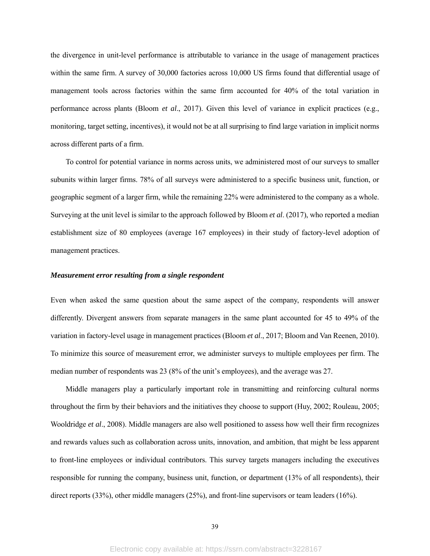the divergence in unit-level performance is attributable to variance in the usage of management practices within the same firm. A survey of 30,000 factories across 10,000 US firms found that differential usage of management tools across factories within the same firm accounted for 40% of the total variation in performance across plants (Bloom *et al*., 2017). Given this level of variance in explicit practices (e.g., monitoring, target setting, incentives), it would not be at all surprising to find large variation in implicit norms across different parts of a firm.

To control for potential variance in norms across units, we administered most of our surveys to smaller subunits within larger firms. 78% of all surveys were administered to a specific business unit, function, or geographic segment of a larger firm, while the remaining 22% were administered to the company as a whole. Surveying at the unit level is similar to the approach followed by Bloom *et al*. (2017), who reported a median establishment size of 80 employees (average 167 employees) in their study of factory-level adoption of management practices.

# *Measurement error resulting from a single respondent*

Even when asked the same question about the same aspect of the company, respondents will answer differently. Divergent answers from separate managers in the same plant accounted for 45 to 49% of the variation in factory-level usage in management practices (Bloom *et al*., 2017; Bloom and Van Reenen, 2010). To minimize this source of measurement error, we administer surveys to multiple employees per firm. The median number of respondents was 23 (8% of the unit's employees), and the average was 27.

Middle managers play a particularly important role in transmitting and reinforcing cultural norms throughout the firm by their behaviors and the initiatives they choose to support (Huy, 2002; Rouleau, 2005; Wooldridge *et al*., 2008). Middle managers are also well positioned to assess how well their firm recognizes and rewards values such as collaboration across units, innovation, and ambition, that might be less apparent to front-line employees or individual contributors. This survey targets managers including the executives responsible for running the company, business unit, function, or department (13% of all respondents), their direct reports (33%), other middle managers (25%), and front-line supervisors or team leaders (16%).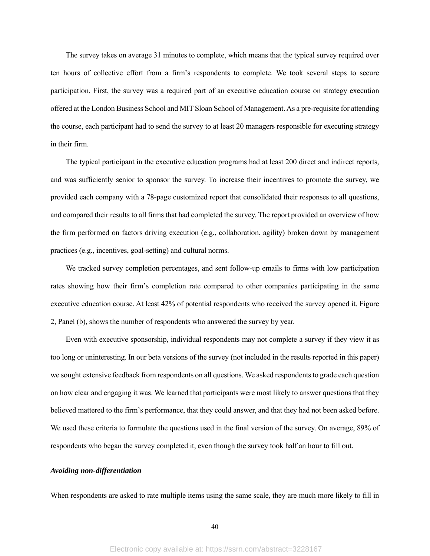The survey takes on average 31 minutes to complete, which means that the typical survey required over ten hours of collective effort from a firm's respondents to complete. We took several steps to secure participation. First, the survey was a required part of an executive education course on strategy execution offered at the London Business School and MIT Sloan School of Management. As a pre-requisite for attending the course, each participant had to send the survey to at least 20 managers responsible for executing strategy in their firm.

The typical participant in the executive education programs had at least 200 direct and indirect reports, and was sufficiently senior to sponsor the survey. To increase their incentives to promote the survey, we provided each company with a 78-page customized report that consolidated their responses to all questions, and compared their results to all firms that had completed the survey. The report provided an overview of how the firm performed on factors driving execution (e.g., collaboration, agility) broken down by management practices (e.g., incentives, goal-setting) and cultural norms.

We tracked survey completion percentages, and sent follow-up emails to firms with low participation rates showing how their firm's completion rate compared to other companies participating in the same executive education course. At least 42% of potential respondents who received the survey opened it. Figure 2, Panel (b), shows the number of respondents who answered the survey by year.

Even with executive sponsorship, individual respondents may not complete a survey if they view it as too long or uninteresting. In our beta versions of the survey (not included in the results reported in this paper) we sought extensive feedback from respondents on all questions. We asked respondents to grade each question on how clear and engaging it was. We learned that participants were most likely to answer questions that they believed mattered to the firm's performance, that they could answer, and that they had not been asked before. We used these criteria to formulate the questions used in the final version of the survey. On average, 89% of respondents who began the survey completed it, even though the survey took half an hour to fill out.

#### *Avoiding non-differentiation*

When respondents are asked to rate multiple items using the same scale, they are much more likely to fill in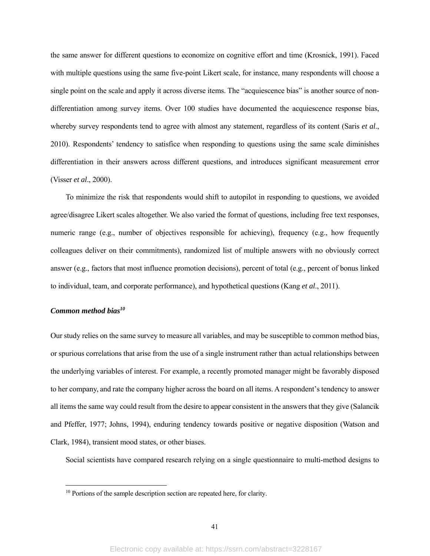the same answer for different questions to economize on cognitive effort and time (Krosnick, 1991). Faced with multiple questions using the same five-point Likert scale, for instance, many respondents will choose a single point on the scale and apply it across diverse items. The "acquiescence bias" is another source of nondifferentiation among survey items. Over 100 studies have documented the acquiescence response bias, whereby survey respondents tend to agree with almost any statement, regardless of its content (Saris *et al*., 2010). Respondents' tendency to satisfice when responding to questions using the same scale diminishes differentiation in their answers across different questions, and introduces significant measurement error (Visser *et al*., 2000).

To minimize the risk that respondents would shift to autopilot in responding to questions, we avoided agree/disagree Likert scales altogether. We also varied the format of questions, including free text responses, numeric range (e.g., number of objectives responsible for achieving), frequency (e.g., how frequently colleagues deliver on their commitments), randomized list of multiple answers with no obviously correct answer (e.g., factors that most influence promotion decisions), percent of total (e.g., percent of bonus linked to individual, team, and corporate performance), and hypothetical questions (Kang *et al*., 2011).

# *Common method bias10*

 $\overline{a}$ 

Our study relies on the same survey to measure all variables, and may be susceptible to common method bias, or spurious correlations that arise from the use of a single instrument rather than actual relationships between the underlying variables of interest. For example, a recently promoted manager might be favorably disposed to her company, and rate the company higher across the board on all items. A respondent's tendency to answer all items the same way could result from the desire to appear consistent in the answers that they give (Salancik and Pfeffer, 1977; Johns, 1994), enduring tendency towards positive or negative disposition (Watson and Clark, 1984), transient mood states, or other biases.

Social scientists have compared research relying on a single questionnaire to multi-method designs to

<sup>&</sup>lt;sup>10</sup> Portions of the sample description section are repeated here, for clarity.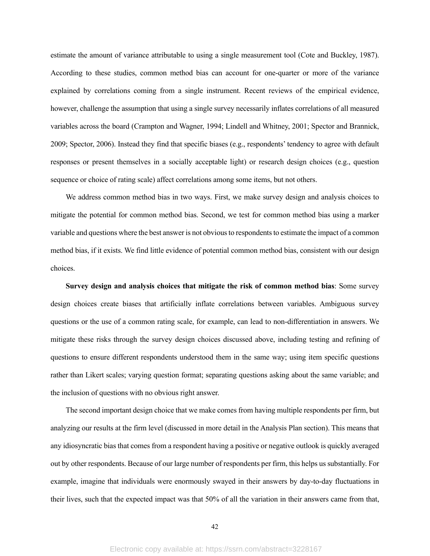estimate the amount of variance attributable to using a single measurement tool (Cote and Buckley, 1987). According to these studies, common method bias can account for one-quarter or more of the variance explained by correlations coming from a single instrument. Recent reviews of the empirical evidence, however, challenge the assumption that using a single survey necessarily inflates correlations of all measured variables across the board (Crampton and Wagner, 1994; Lindell and Whitney, 2001; Spector and Brannick, 2009; Spector, 2006). Instead they find that specific biases (e.g., respondents' tendency to agree with default responses or present themselves in a socially acceptable light) or research design choices (e.g., question sequence or choice of rating scale) affect correlations among some items, but not others.

We address common method bias in two ways. First, we make survey design and analysis choices to mitigate the potential for common method bias. Second, we test for common method bias using a marker variable and questions where the best answer is not obvious to respondents to estimate the impact of a common method bias, if it exists. We find little evidence of potential common method bias, consistent with our design choices.

**Survey design and analysis choices that mitigate the risk of common method bias**: Some survey design choices create biases that artificially inflate correlations between variables. Ambiguous survey questions or the use of a common rating scale, for example, can lead to non-differentiation in answers. We mitigate these risks through the survey design choices discussed above, including testing and refining of questions to ensure different respondents understood them in the same way; using item specific questions rather than Likert scales; varying question format; separating questions asking about the same variable; and the inclusion of questions with no obvious right answer.

The second important design choice that we make comes from having multiple respondents per firm, but analyzing our results at the firm level (discussed in more detail in the Analysis Plan section). This means that any idiosyncratic bias that comes from a respondent having a positive or negative outlook is quickly averaged out by other respondents. Because of our large number of respondents per firm, this helps us substantially. For example, imagine that individuals were enormously swayed in their answers by day-to-day fluctuations in their lives, such that the expected impact was that 50% of all the variation in their answers came from that,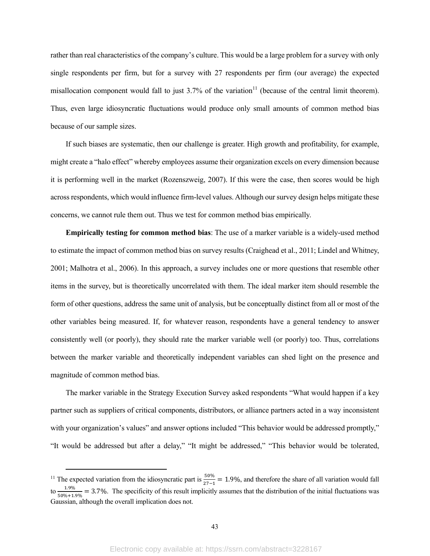rather than real characteristics of the company's culture. This would be a large problem for a survey with only single respondents per firm, but for a survey with 27 respondents per firm (our average) the expected misallocation component would fall to just  $3.7\%$  of the variation<sup>11</sup> (because of the central limit theorem). Thus, even large idiosyncratic fluctuations would produce only small amounts of common method bias because of our sample sizes.

If such biases are systematic, then our challenge is greater. High growth and profitability, for example, might create a "halo effect" whereby employees assume their organization excels on every dimension because it is performing well in the market (Rozenszweig, 2007). If this were the case, then scores would be high across respondents, which would influence firm-level values. Although our survey design helps mitigate these concerns, we cannot rule them out. Thus we test for common method bias empirically.

**Empirically testing for common method bias**: The use of a marker variable is a widely-used method to estimate the impact of common method bias on survey results (Craighead et al., 2011; Lindel and Whitney, 2001; Malhotra et al., 2006). In this approach, a survey includes one or more questions that resemble other items in the survey, but is theoretically uncorrelated with them. The ideal marker item should resemble the form of other questions, address the same unit of analysis, but be conceptually distinct from all or most of the other variables being measured. If, for whatever reason, respondents have a general tendency to answer consistently well (or poorly), they should rate the marker variable well (or poorly) too. Thus, correlations between the marker variable and theoretically independent variables can shed light on the presence and magnitude of common method bias.

The marker variable in the Strategy Execution Survey asked respondents "What would happen if a key partner such as suppliers of critical components, distributors, or alliance partners acted in a way inconsistent with your organization's values" and answer options included "This behavior would be addressed promptly," "It would be addressed but after a delay," "It might be addressed," "This behavior would be tolerated,

<sup>&</sup>lt;sup>11</sup> The expected variation from the idiosyncratic part is  $\frac{50\%}{27-1} = 1.9\%$ , and therefore the share of all variation would fall to  $\frac{1.9\%}{50\%+1.9\%}$  = 3.7%. The specificity of this result implicitly assumes that the distribution of the initial fluctuations was Gaussian, although the overall implication does not.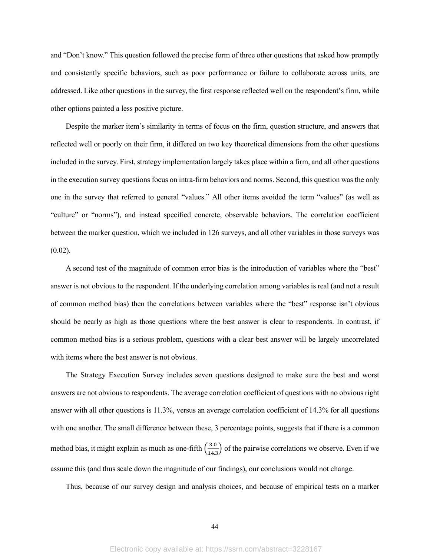and "Don't know." This question followed the precise form of three other questions that asked how promptly and consistently specific behaviors, such as poor performance or failure to collaborate across units, are addressed. Like other questions in the survey, the first response reflected well on the respondent's firm, while other options painted a less positive picture.

Despite the marker item's similarity in terms of focus on the firm, question structure, and answers that reflected well or poorly on their firm, it differed on two key theoretical dimensions from the other questions included in the survey. First, strategy implementation largely takes place within a firm, and all other questions in the execution survey questions focus on intra-firm behaviors and norms. Second, this question was the only one in the survey that referred to general "values." All other items avoided the term "values" (as well as "culture" or "norms"), and instead specified concrete, observable behaviors. The correlation coefficient between the marker question, which we included in 126 surveys, and all other variables in those surveys was (0.02).

A second test of the magnitude of common error bias is the introduction of variables where the "best" answer is not obvious to the respondent. If the underlying correlation among variables is real (and not a result of common method bias) then the correlations between variables where the "best" response isn't obvious should be nearly as high as those questions where the best answer is clear to respondents. In contrast, if common method bias is a serious problem, questions with a clear best answer will be largely uncorrelated with items where the best answer is not obvious.

The Strategy Execution Survey includes seven questions designed to make sure the best and worst answers are not obvious to respondents. The average correlation coefficient of questions with no obvious right answer with all other questions is 11.3%, versus an average correlation coefficient of 14.3% for all questions with one another. The small difference between these, 3 percentage points, suggests that if there is a common method bias, it might explain as much as one-fifth  $\left(\frac{3.0}{14.3}\right)$  of the pairwise correlations we observe. Even if we assume this (and thus scale down the magnitude of our findings), our conclusions would not change.

Thus, because of our survey design and analysis choices, and because of empirical tests on a marker